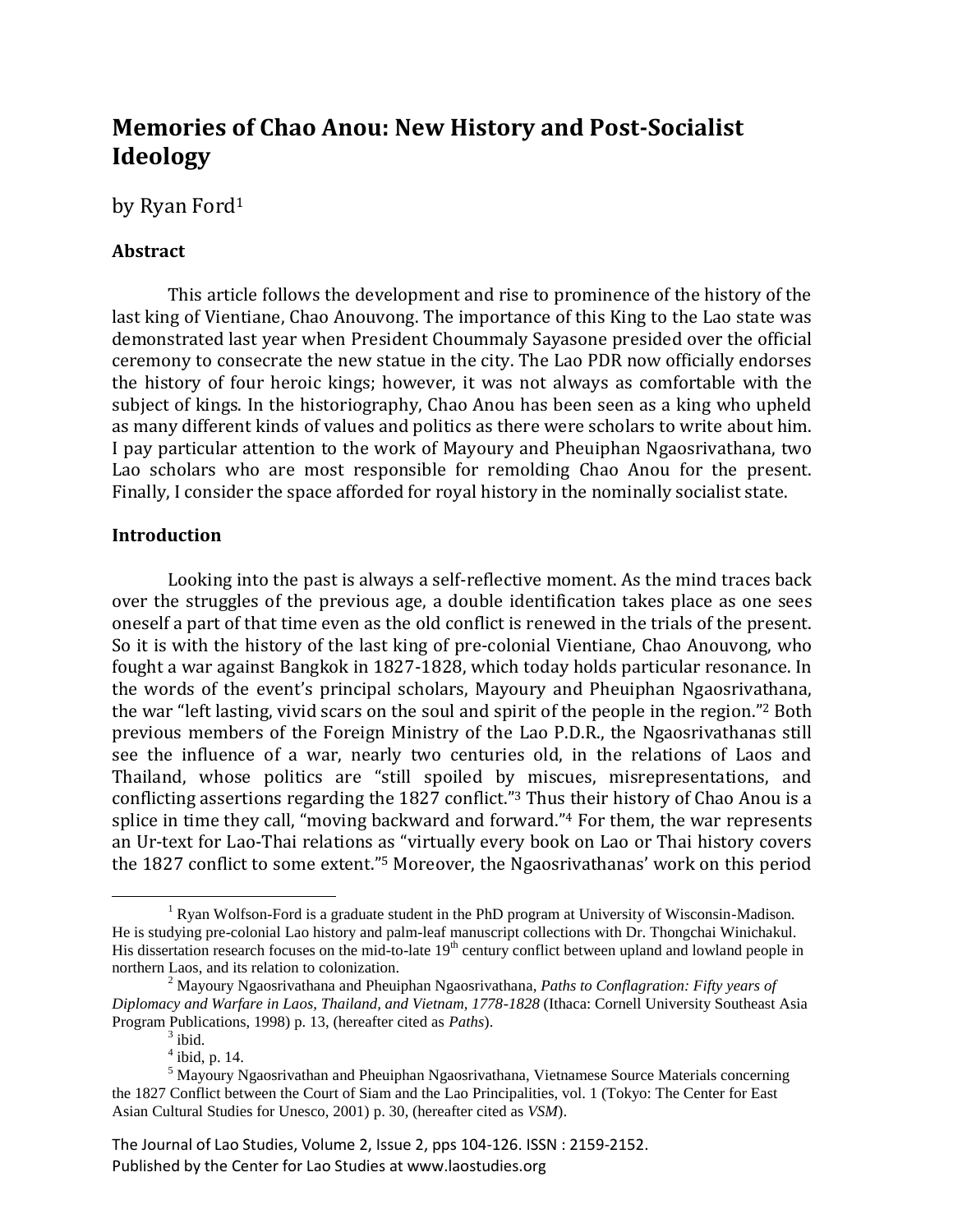# **Memories of Chao Anou: New History and Post-Socialist Ideology**

# by Ryan Ford<sup>1</sup>

# **Abstract**

This article follows the development and rise to prominence of the history of the last king of Vientiane, Chao Anouvong. The importance of this King to the Lao state was demonstrated last year when President Choummaly Sayasone presided over the official ceremony to consecrate the new statue in the city. The Lao PDR now officially endorses the history of four heroic kings; however, it was not always as comfortable with the subject of kings. In the historiography, Chao Anou has been seen as a king who upheld as many different kinds of values and politics as there were scholars to write about him. I pay particular attention to the work of Mayoury and Pheuiphan Ngaosrivathana, two Lao scholars who are most responsible for remolding Chao Anou for the present. Finally, I consider the space afforded for royal history in the nominally socialist state.

### **Introduction**

Looking into the past is always a self-reflective moment. As the mind traces back over the struggles of the previous age, a double identification takes place as one sees oneself a part of that time even as the old conflict is renewed in the trials of the present. So it is with the history of the last king of pre-colonial Vientiane, Chao Anouvong, who fought a war against Bangkok in 1827-1828, which today holds particular resonance. In the words of the event's principal scholars, Mayoury and Pheuiphan Ngaosrivathana, the war "left lasting, vivid scars on the soul and spirit of the people in the region." <sup>2</sup> Both previous members of the Foreign Ministry of the Lao P.D.R., the Ngaosrivathanas still see the influence of a war, nearly two centuries old, in the relations of Laos and Thailand, whose politics are "still spoiled by miscues, misrepresentations, and conflicting assertions regarding the 1827 conflict." <sup>3</sup> Thus their history of Chao Anou is a splice in time they call, "moving backward and forward." <sup>4</sup> For them, the war represents an Ur-text for Lao-Thai relations as "virtually every book on Lao or Thai history covers the 1827 conflict to some extent." <sup>5</sup> Moreover, the Ngaosrivathanas' work on this period

 $<sup>1</sup>$  Ryan Wolfson-Ford is a graduate student in the PhD program at University of Wisconsin-Madison.</sup> He is studying pre-colonial Lao history and palm-leaf manuscript collections with Dr. Thongchai Winichakul. His dissertation research focuses on the mid-to-late  $19<sup>th</sup>$  century conflict between upland and lowland people in northern Laos, and its relation to colonization.

<sup>2</sup> Mayoury Ngaosrivathana and Pheuiphan Ngaosrivathana, *Paths to Conflagration: Fifty years of Diplomacy and Warfare in Laos, Thailand, and Vietnam, 1778-1828* (Ithaca: Cornell University Southeast Asia Program Publications, 1998) p. 13, (hereafter cited as *Paths*).

 $3$  ibid.

 $<sup>4</sup>$  ibid, p. 14.</sup>

<sup>&</sup>lt;sup>5</sup> Mayoury Ngaosrivathan and Pheuiphan Ngaosrivathana, Vietnamese Source Materials concerning the 1827 Conflict between the Court of Siam and the Lao Principalities, vol. 1 (Tokyo: The Center for East Asian Cultural Studies for Unesco, 2001) p. 30, (hereafter cited as *VSM*).

The Journal of Lao Studies, Volume 2, Issue 2, pps 104-126. ISSN : 2159-2152. Published by the Center for Lao Studies at www.laostudies.org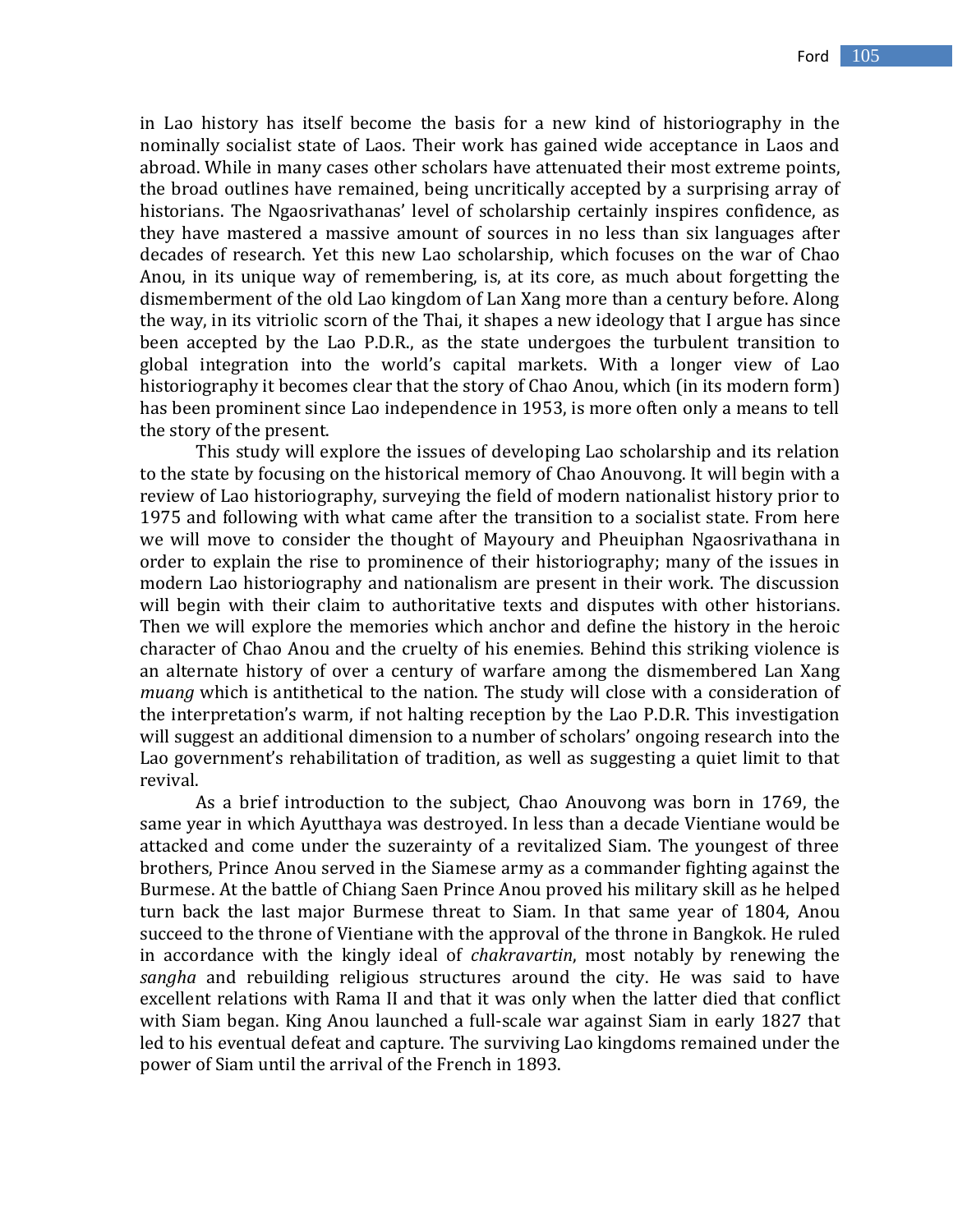in Lao history has itself become the basis for a new kind of historiography in the nominally socialist state of Laos. Their work has gained wide acceptance in Laos and abroad. While in many cases other scholars have attenuated their most extreme points, the broad outlines have remained, being uncritically accepted by a surprising array of historians. The Ngaosrivathanas' level of scholarship certainly inspires confidence, as they have mastered a massive amount of sources in no less than six languages after decades of research. Yet this new Lao scholarship, which focuses on the war of Chao Anou, in its unique way of remembering, is, at its core, as much about forgetting the dismemberment of the old Lao kingdom of Lan Xang more than a century before. Along the way, in its vitriolic scorn of the Thai, it shapes a new ideology that I argue has since been accepted by the Lao P.D.R., as the state undergoes the turbulent transition to global integration into the world's capital markets. With a longer view of Lao historiography it becomes clear that the story of Chao Anou, which (in its modern form) has been prominent since Lao independence in 1953, is more often only a means to tell the story of the present.

This study will explore the issues of developing Lao scholarship and its relation to the state by focusing on the historical memory of Chao Anouvong. It will begin with a review of Lao historiography, surveying the field of modern nationalist history prior to 1975 and following with what came after the transition to a socialist state. From here we will move to consider the thought of Mayoury and Pheuiphan Ngaosrivathana in order to explain the rise to prominence of their historiography; many of the issues in modern Lao historiography and nationalism are present in their work. The discussion will begin with their claim to authoritative texts and disputes with other historians. Then we will explore the memories which anchor and define the history in the heroic character of Chao Anou and the cruelty of his enemies. Behind this striking violence is an alternate history of over a century of warfare among the dismembered Lan Xang *muang* which is antithetical to the nation. The study will close with a consideration of the interpretation's warm, if not halting reception by the Lao P.D.R. This investigation will suggest an additional dimension to a number of scholars' ongoing research into the Lao government's rehabilitation of tradition, as well as suggesting a quiet limit to that revival.

As a brief introduction to the subject, Chao Anouvong was born in 1769, the same year in which Ayutthaya was destroyed. In less than a decade Vientiane would be attacked and come under the suzerainty of a revitalized Siam. The youngest of three brothers, Prince Anou served in the Siamese army as a commander fighting against the Burmese. At the battle of Chiang Saen Prince Anou proved his military skill as he helped turn back the last major Burmese threat to Siam. In that same year of 1804, Anou succeed to the throne of Vientiane with the approval of the throne in Bangkok. He ruled in accordance with the kingly ideal of *chakravartin*, most notably by renewing the *sangha* and rebuilding religious structures around the city. He was said to have excellent relations with Rama II and that it was only when the latter died that conflict with Siam began. King Anou launched a full-scale war against Siam in early 1827 that led to his eventual defeat and capture. The surviving Lao kingdoms remained under the power of Siam until the arrival of the French in 1893.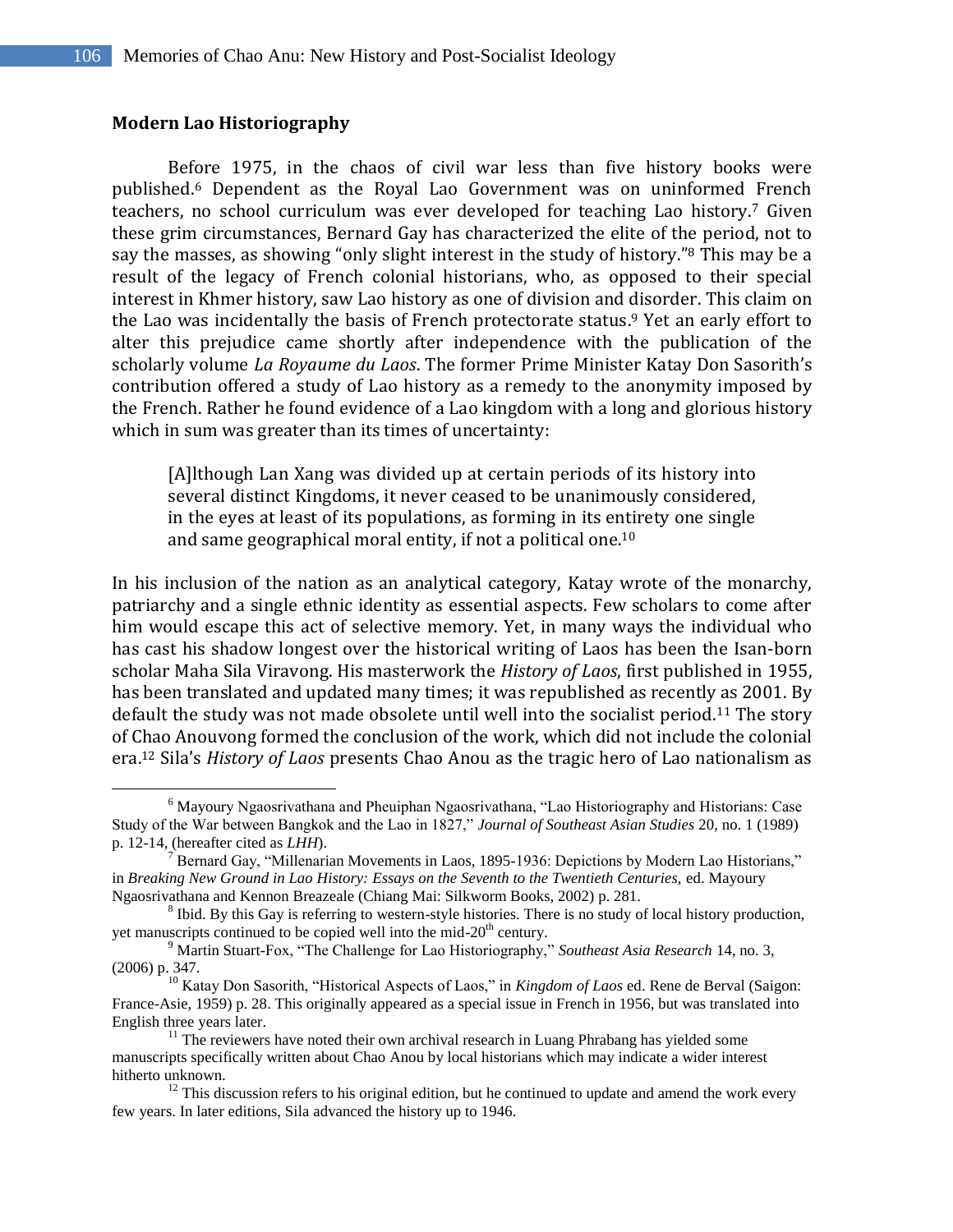#### **Modern Lao Historiography**

 $\overline{a}$ 

Before 1975, in the chaos of civil war less than five history books were published. <sup>6</sup> Dependent as the Royal Lao Government was on uninformed French teachers, no school curriculum was ever developed for teaching Lao history. <sup>7</sup> Given these grim circumstances, Bernard Gay has characterized the elite of the period, not to say the masses, as showing "only slight interest in the study of history."<sup>8</sup> This may be a result of the legacy of French colonial historians, who, as opposed to their special interest in Khmer history, saw Lao history as one of division and disorder. This claim on the Lao was incidentally the basis of French protectorate status. <sup>9</sup> Yet an early effort to alter this prejudice came shortly after independence with the publication of the scholarly volume *La Royaume du Laos*. The former Prime Minister Katay Don Sasorith's contribution offered a study of Lao history as a remedy to the anonymity imposed by the French. Rather he found evidence of a Lao kingdom with a long and glorious history which in sum was greater than its times of uncertainty:

[A]lthough Lan Xang was divided up at certain periods of its history into several distinct Kingdoms, it never ceased to be unanimously considered, in the eyes at least of its populations, as forming in its entirety one single and same geographical moral entity, if not a political one.<sup>10</sup>

In his inclusion of the nation as an analytical category, Katay wrote of the monarchy, patriarchy and a single ethnic identity as essential aspects. Few scholars to come after him would escape this act of selective memory. Yet, in many ways the individual who has cast his shadow longest over the historical writing of Laos has been the Isan-born scholar Maha Sila Viravong. His masterwork the *History of Laos*, first published in 1955, has been translated and updated many times; it was republished as recently as 2001. By default the study was not made obsolete until well into the socialist period.<sup>11</sup> The story of Chao Anouvong formed the conclusion of the work, which did not include the colonial era.<sup>12</sup> Sila's *History of Laos* presents Chao Anou as the tragic hero of Lao nationalism as

<sup>6</sup> Mayoury Ngaosrivathana and Pheuiphan Ngaosrivathana, "Lao Historiography and Historians: Case Study of the War between Bangkok and the Lao in 1827," *Journal of Southeast Asian Studies* 20, no. 1 (1989) p. 12-14, (hereafter cited as *LHH*).

<sup>7</sup> Bernard Gay, "Millenarian Movements in Laos, 1895-1936: Depictions by Modern Lao Historians," in *Breaking New Ground in Lao History: Essays on the Seventh to the Twentieth Centuries,* ed. Mayoury Ngaosrivathana and Kennon Breazeale (Chiang Mai: Silkworm Books, 2002) p. 281.

<sup>&</sup>lt;sup>8</sup> Ibid. By this Gay is referring to western-style histories. There is no study of local history production, yet manuscripts continued to be copied well into the mid-20<sup>th</sup> century.

<sup>9</sup> Martin Stuart-Fox, "The Challenge for Lao Historiography," *Southeast Asia Research* 14, no. 3, (2006) p. 347.

<sup>10</sup> Katay Don Sasorith, "Historical Aspects of Laos," in *Kingdom of Laos* ed. Rene de Berval (Saigon: France-Asie, 1959) p. 28. This originally appeared as a special issue in French in 1956, but was translated into English three years later.

<sup>&</sup>lt;sup>11</sup> The reviewers have noted their own archival research in Luang Phrabang has yielded some manuscripts specifically written about Chao Anou by local historians which may indicate a wider interest hitherto unknown.

 $12$  This discussion refers to his original edition, but he continued to update and amend the work every few years. In later editions, Sila advanced the history up to 1946.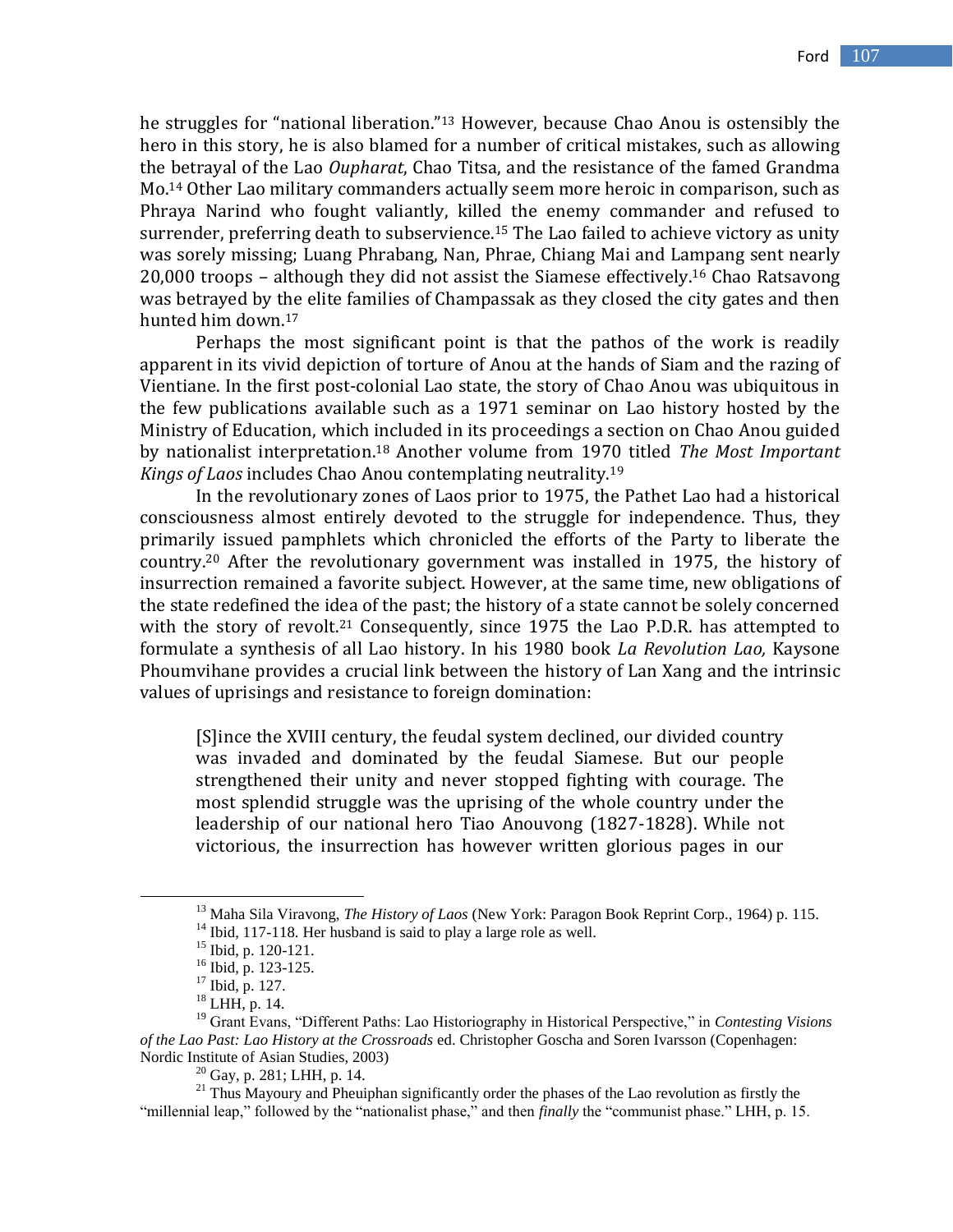he struggles for "national liberation." <sup>13</sup> However, because Chao Anou is ostensibly the hero in this story, he is also blamed for a number of critical mistakes, such as allowing the betrayal of the Lao *Oupharat*, Chao Titsa, and the resistance of the famed Grandma Mo. <sup>14</sup> Other Lao military commanders actually seem more heroic in comparison, such as Phraya Narind who fought valiantly, killed the enemy commander and refused to surrender, preferring death to subservience.<sup>15</sup> The Lao failed to achieve victory as unity was sorely missing; Luang Phrabang, Nan, Phrae, Chiang Mai and Lampang sent nearly 20,000 troops – although they did not assist the Siamese effectively.<sup>16</sup> Chao Ratsavong was betrayed by the elite families of Champassak as they closed the city gates and then hunted him down.<sup>17</sup>

Perhaps the most significant point is that the pathos of the work is readily apparent in its vivid depiction of torture of Anou at the hands of Siam and the razing of Vientiane. In the first post-colonial Lao state, the story of Chao Anou was ubiquitous in the few publications available such as a 1971 seminar on Lao history hosted by the Ministry of Education, which included in its proceedings a section on Chao Anou guided by nationalist interpretation. <sup>18</sup> Another volume from 1970 titled *The Most Important Kings of Laos* includes Chao Anou contemplating neutrality.<sup>19</sup>

In the revolutionary zones of Laos prior to 1975, the Pathet Lao had a historical consciousness almost entirely devoted to the struggle for independence. Thus, they primarily issued pamphlets which chronicled the efforts of the Party to liberate the country. <sup>20</sup> After the revolutionary government was installed in 1975, the history of insurrection remained a favorite subject. However, at the same time, new obligations of the state redefined the idea of the past; the history of a state cannot be solely concerned with the story of revolt.<sup>21</sup> Consequently, since 1975 the Lao P.D.R. has attempted to formulate a synthesis of all Lao history. In his 1980 book *La Revolution Lao,* Kaysone Phoumvihane provides a crucial link between the history of Lan Xang and the intrinsic values of uprisings and resistance to foreign domination:

[S]ince the XVIII century, the feudal system declined, our divided country was invaded and dominated by the feudal Siamese. But our people strengthened their unity and never stopped fighting with courage. The most splendid struggle was the uprising of the whole country under the leadership of our national hero Tiao Anouvong (1827-1828). While not victorious, the insurrection has however written glorious pages in our

 $\overline{a}$ 

 $20$  Gay, p. 281; LHH, p. 14.

<sup>13</sup> Maha Sila Viravong, *The History of Laos* (New York: Paragon Book Reprint Corp., 1964) p. 115.

 $14$  Ibid, 117-118. Her husband is said to play a large role as well.

<sup>15</sup> Ibid, p. 120-121.

<sup>16</sup> Ibid, p. 123-125.

<sup>17</sup> Ibid, p. 127.

<sup>18</sup> LHH, p. 14.

<sup>19</sup> Grant Evans, "Different Paths: Lao Historiography in Historical Perspective," in *Contesting Visions of the Lao Past: Lao History at the Crossroads* ed. Christopher Goscha and Soren Ivarsson (Copenhagen: Nordic Institute of Asian Studies, 2003)

<sup>&</sup>lt;sup>21</sup> Thus Mayoury and Pheuiphan significantly order the phases of the Lao revolution as firstly the "millennial leap," followed by the "nationalist phase," and then *finally* the "communist phase." LHH, p. 15.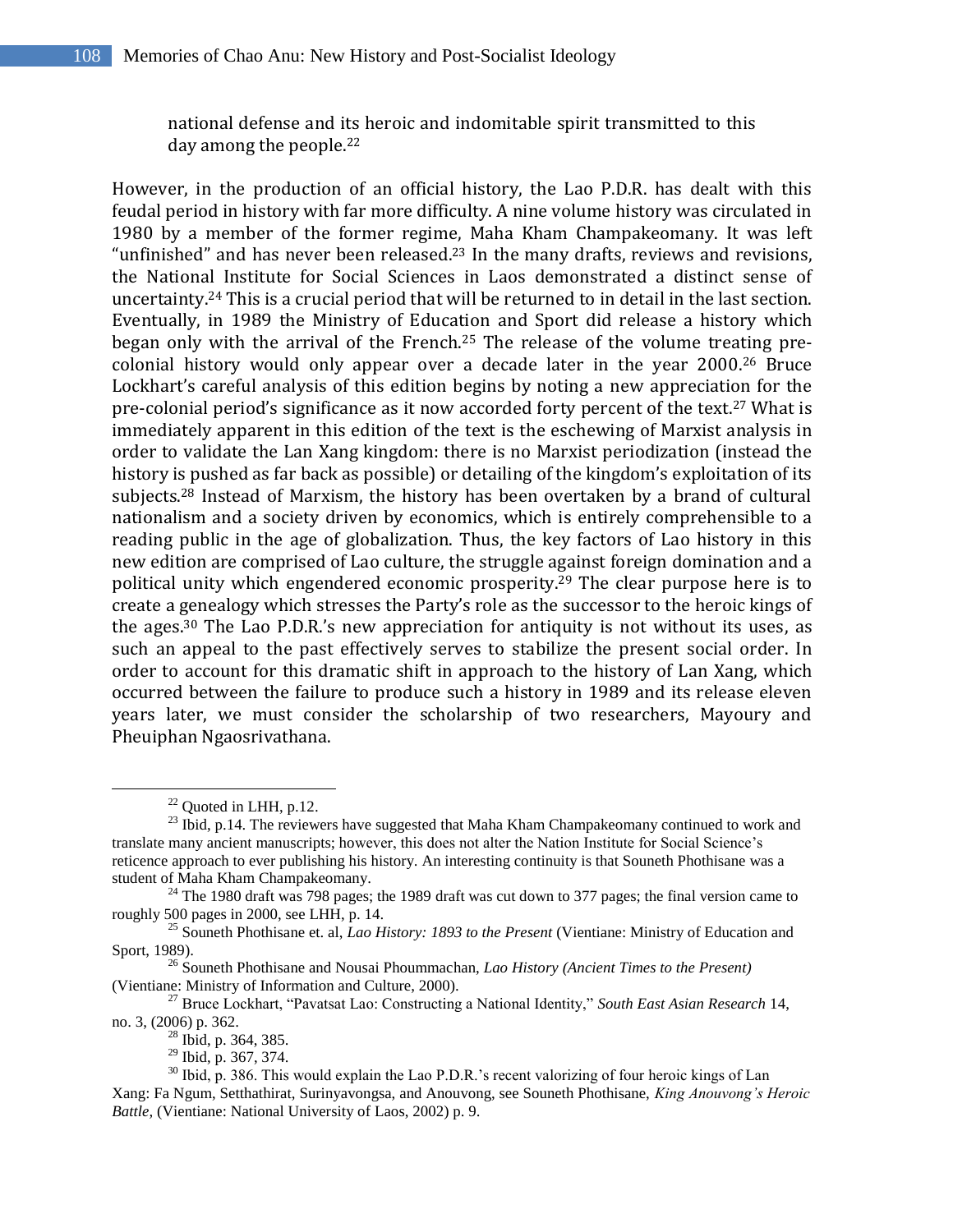national defense and its heroic and indomitable spirit transmitted to this day among the people.<sup>22</sup>

However, in the production of an official history, the Lao P.D.R. has dealt with this feudal period in history with far more difficulty. A nine volume history was circulated in 1980 by a member of the former regime, Maha Kham Champakeomany. It was left "unfinished" and has never been released.<sup>23</sup> In the many drafts, reviews and revisions, the National Institute for Social Sciences in Laos demonstrated a distinct sense of uncertainty.<sup>24</sup> This is a crucial period that will be returned to in detail in the last section. Eventually, in 1989 the Ministry of Education and Sport did release a history which began only with the arrival of the French. <sup>25</sup> The release of the volume treating precolonial history would only appear over a decade later in the year 2000. <sup>26</sup> Bruce Lockhart's careful analysis of this edition begins by noting a new appreciation for the pre-colonial period's significance as it now accorded forty percent of the text.<sup>27</sup> What is immediately apparent in this edition of the text is the eschewing of Marxist analysis in order to validate the Lan Xang kingdom: there is no Marxist periodization (instead the history is pushed as far back as possible) or detailing of the kingdom's exploitation of its subjects.<sup>28</sup> Instead of Marxism, the history has been overtaken by a brand of cultural nationalism and a society driven by economics, which is entirely comprehensible to a reading public in the age of globalization. Thus, the key factors of Lao history in this new edition are comprised of Lao culture, the struggle against foreign domination and a political unity which engendered economic prosperity.<sup>29</sup> The clear purpose here is to create a genealogy which stresses the Party's role as the successor to the heroic kings of the ages. <sup>30</sup> The Lao P.D.R.'s new appreciation for antiquity is not without its uses, as such an appeal to the past effectively serves to stabilize the present social order. In order to account for this dramatic shift in approach to the history of Lan Xang, which occurred between the failure to produce such a history in 1989 and its release eleven years later, we must consider the scholarship of two researchers, Mayoury and Pheuiphan Ngaosrivathana.

 $22$  Ouoted in LHH, p.12.

 $^{23}$  Ibid, p.14. The reviewers have suggested that Maha Kham Champakeomany continued to work and translate many ancient manuscripts; however, this does not alter the Nation Institute for Social Science"s reticence approach to ever publishing his history. An interesting continuity is that Souneth Phothisane was a student of Maha Kham Champakeomany.

 $^{24}$  The 1980 draft was 798 pages; the 1989 draft was cut down to 377 pages; the final version came to roughly 500 pages in 2000, see LHH, p. 14.

<sup>25</sup> Souneth Phothisane et. al, *Lao History: 1893 to the Present* (Vientiane: Ministry of Education and Sport, 1989).

<sup>26</sup> Souneth Phothisane and Nousai Phoummachan, *Lao History (Ancient Times to the Present)*  (Vientiane: Ministry of Information and Culture, 2000).

<sup>27</sup> Bruce Lockhart, "Pavatsat Lao: Constructing a National Identity," *South East Asian Research* 14, no. 3, (2006) p. 362.

<sup>28</sup> Ibid, p. 364, 385.

<sup>29</sup> Ibid, p. 367, 374.

<sup>&</sup>lt;sup>30</sup> Ibid, p. 386. This would explain the Lao P.D.R.'s recent valorizing of four heroic kings of Lan Xang: Fa Ngum, Setthathirat, Surinyavongsa, and Anouvong, see Souneth Phothisane, *King Anouvong's Heroic Battle,* (Vientiane: National University of Laos, 2002) p. 9.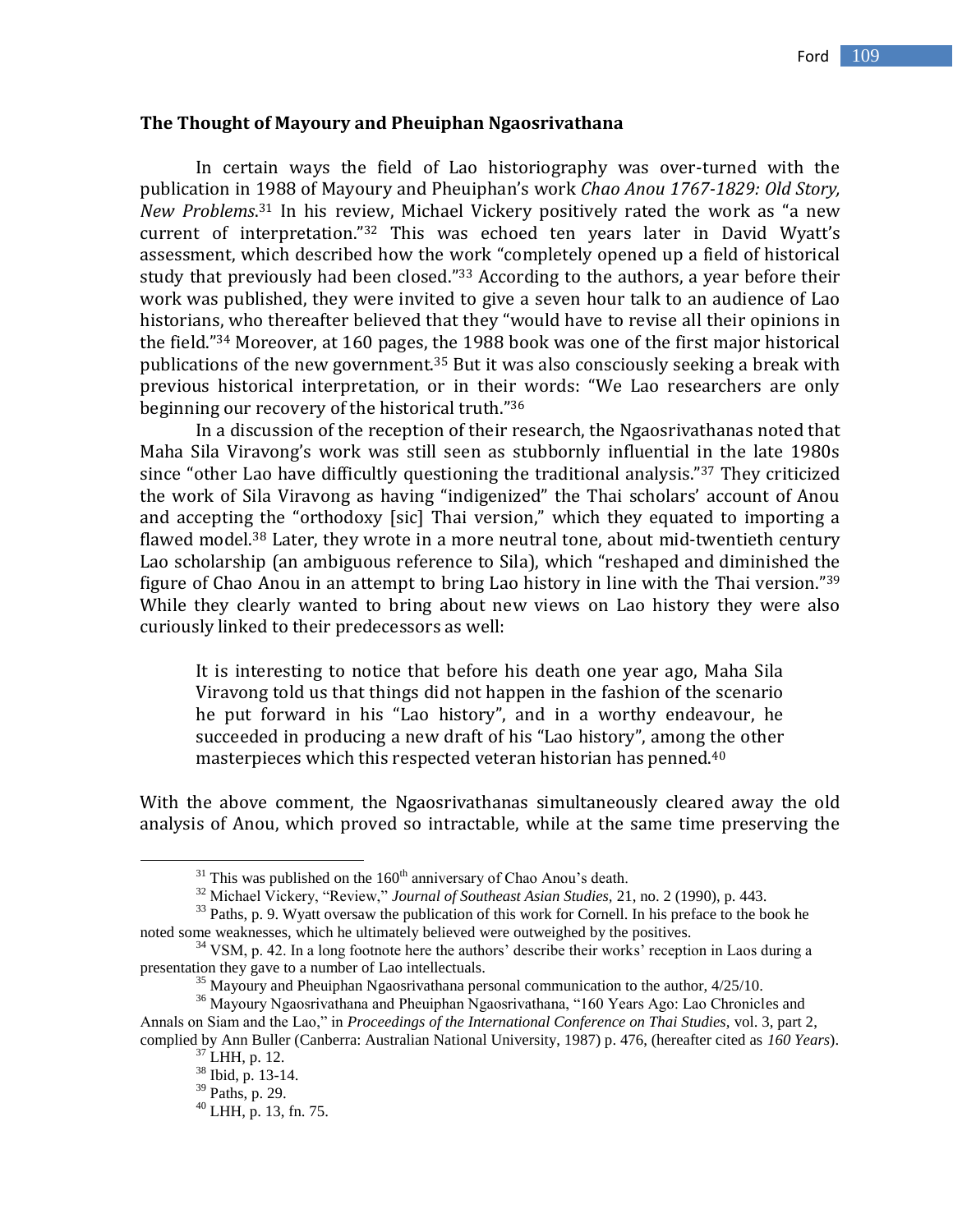#### **The Thought of Mayoury and Pheuiphan Ngaosrivathana**

In certain ways the field of Lao historiography was over-turned with the publication in 1988 of Mayoury and Pheuiphan's work *Chao Anou 1767-1829: Old Story, New Problems*. <sup>31</sup> In his review, Michael Vickery positively rated the work as "a new current of interpretation." <sup>32</sup> This was echoed ten years later in David Wyatt's assessment, which described how the work "completely opened up a field of historical study that previously had been closed." <sup>33</sup> According to the authors, a year before their work was published, they were invited to give a seven hour talk to an audience of Lao historians, who thereafter believed that they "would have to revise all their opinions in the field." <sup>34</sup> Moreover, at 160 pages, the 1988 book was one of the first major historical publications of the new government.<sup>35</sup> But it was also consciously seeking a break with previous historical interpretation, or in their words: "We Lao researchers are only beginning our recovery of the historical truth." 36

In a discussion of the reception of their research, the Ngaosrivathanas noted that Maha Sila Viravong's work was still seen as stubbornly influential in the late 1980s since "other Lao have difficultly questioning the traditional analysis."<sup>37</sup> They criticized the work of Sila Viravong as having "indigenized" the Thai scholars' account of Anou and accepting the "orthodoxy [sic] Thai version," which they equated to importing a flawed model.<sup>38</sup> Later, they wrote in a more neutral tone, about mid-twentieth century Lao scholarship (an ambiguous reference to Sila), which "reshaped and diminished the figure of Chao Anou in an attempt to bring Lao history in line with the Thai version."<sup>39</sup> While they clearly wanted to bring about new views on Lao history they were also curiously linked to their predecessors as well:

It is interesting to notice that before his death one year ago, Maha Sila Viravong told us that things did not happen in the fashion of the scenario he put forward in his "Lao history", and in a worthy endeavour, he succeeded in producing a new draft of his "Lao history", among the other masterpieces which this respected veteran historian has penned.<sup>40</sup>

With the above comment, the Ngaosrivathanas simultaneously cleared away the old analysis of Anou, which proved so intractable, while at the same time preserving the

 $31$  This was published on the  $160<sup>th</sup>$  anniversary of Chao Anou's death.

<sup>32</sup> Michael Vickery, "Review," *Journal of Southeast Asian Studies,* 21, no. 2 (1990), p. 443.

<sup>&</sup>lt;sup>33</sup> Paths, p. 9. Wyatt oversaw the publication of this work for Cornell. In his preface to the book he noted some weaknesses, which he ultimately believed were outweighed by the positives.

<sup>&</sup>lt;sup>34</sup> VSM, p. 42. In a long footnote here the authors' describe their works' reception in Laos during a presentation they gave to a number of Lao intellectuals.

 $35$  Mayoury and Pheuiphan Ngaosrivathana personal communication to the author,  $4/25/10$ .

<sup>&</sup>lt;sup>36</sup> Mayoury Ngaosrivathana and Pheuiphan Ngaosrivathana, "160 Years Ago: Lao Chronicles and Annals on Siam and the Lao," in *Proceedings of the International Conference on Thai Studies,* vol. 3, part 2, complied by Ann Buller (Canberra: Australian National University, 1987) p. 476, (hereafter cited as *160 Years*).

 $37$  LHH, p. 12.

 $38 \overline{\text{Ibid, p. 13-14.}}$ 

<sup>39</sup> Paths, p. 29.

 $^{40}$  LHH, p. 13, fn. 75.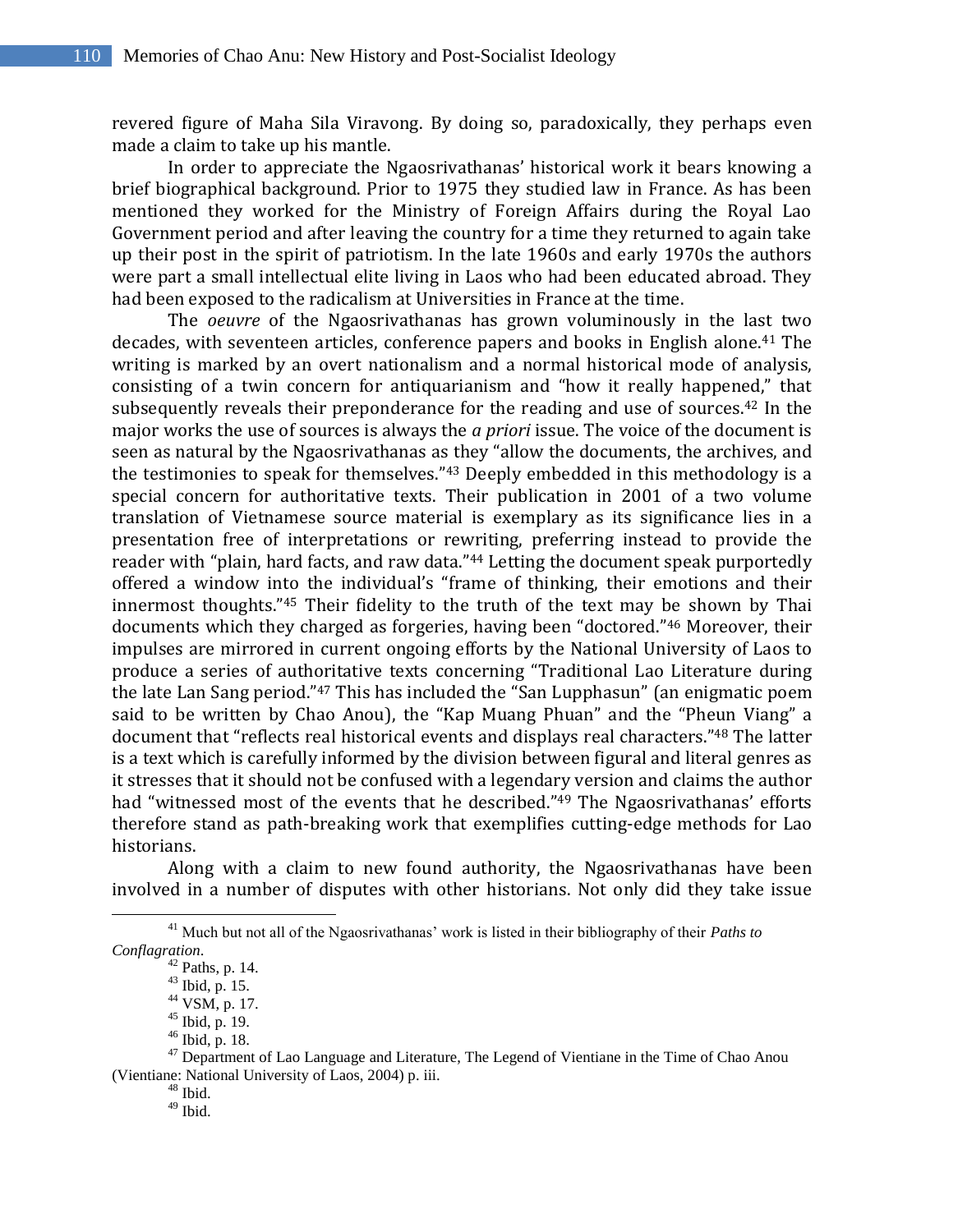revered figure of Maha Sila Viravong. By doing so, paradoxically, they perhaps even made a claim to take up his mantle.

In order to appreciate the Ngaosrivathanas' historical work it bears knowing a brief biographical background. Prior to 1975 they studied law in France. As has been mentioned they worked for the Ministry of Foreign Affairs during the Royal Lao Government period and after leaving the country for a time they returned to again take up their post in the spirit of patriotism. In the late 1960s and early 1970s the authors were part a small intellectual elite living in Laos who had been educated abroad. They had been exposed to the radicalism at Universities in France at the time.

The *oeuvre* of the Ngaosrivathanas has grown voluminously in the last two decades, with seventeen articles, conference papers and books in English alone.<sup>41</sup> The writing is marked by an overt nationalism and a normal historical mode of analysis, consisting of a twin concern for antiquarianism and "how it really happened," that subsequently reveals their preponderance for the reading and use of sources.<sup>42</sup> In the major works the use of sources is always the *a priori* issue. The voice of the document is seen as natural by the Ngaosrivathanas as they "allow the documents, the archives, and the testimonies to speak for themselves." <sup>43</sup> Deeply embedded in this methodology is a special concern for authoritative texts. Their publication in 2001 of a two volume translation of Vietnamese source material is exemplary as its significance lies in a presentation free of interpretations or rewriting, preferring instead to provide the reader with "plain, hard facts, and raw data." <sup>44</sup> Letting the document speak purportedly offered a window into the individual's "frame of thinking, their emotions and their innermost thoughts." <sup>45</sup> Their fidelity to the truth of the text may be shown by Thai documents which they charged as forgeries, having been "doctored." <sup>46</sup> Moreover, their impulses are mirrored in current ongoing efforts by the National University of Laos to produce a series of authoritative texts concerning "Traditional Lao Literature during the late Lan Sang period." <sup>47</sup> This has included the "San Lupphasun" (an enigmatic poem said to be written by Chao Anou), the "Kap Muang Phuan" and the "Pheun Viang" a document that "reflects real historical events and displays real characters." <sup>48</sup> The latter is a text which is carefully informed by the division between figural and literal genres as it stresses that it should not be confused with a legendary version and claims the author had "witnessed most of the events that he described."<sup>49</sup> The Ngaosrivathanas' efforts therefore stand as path-breaking work that exemplifies cutting-edge methods for Lao historians.

Along with a claim to new found authority, the Ngaosrivathanas have been involved in a number of disputes with other historians. Not only did they take issue

<sup>&</sup>lt;sup>41</sup> Much but not all of the Ngaosrivathanas' work is listed in their bibliography of their *Paths to Conflagration*.

 $42$  Paths, p. 14.

<sup>43</sup> Ibid, p. 15.

<sup>44</sup> VSM, p. 17.

<sup>45</sup> Ibid, p. 19.

<sup>46</sup> Ibid, p. 18.

 $47$  Department of Lao Language and Literature, The Legend of Vientiane in the Time of Chao Anou (Vientiane: National University of Laos, 2004) p. iii.

 $48$  Ibid.

 $^{49}$  Ibid.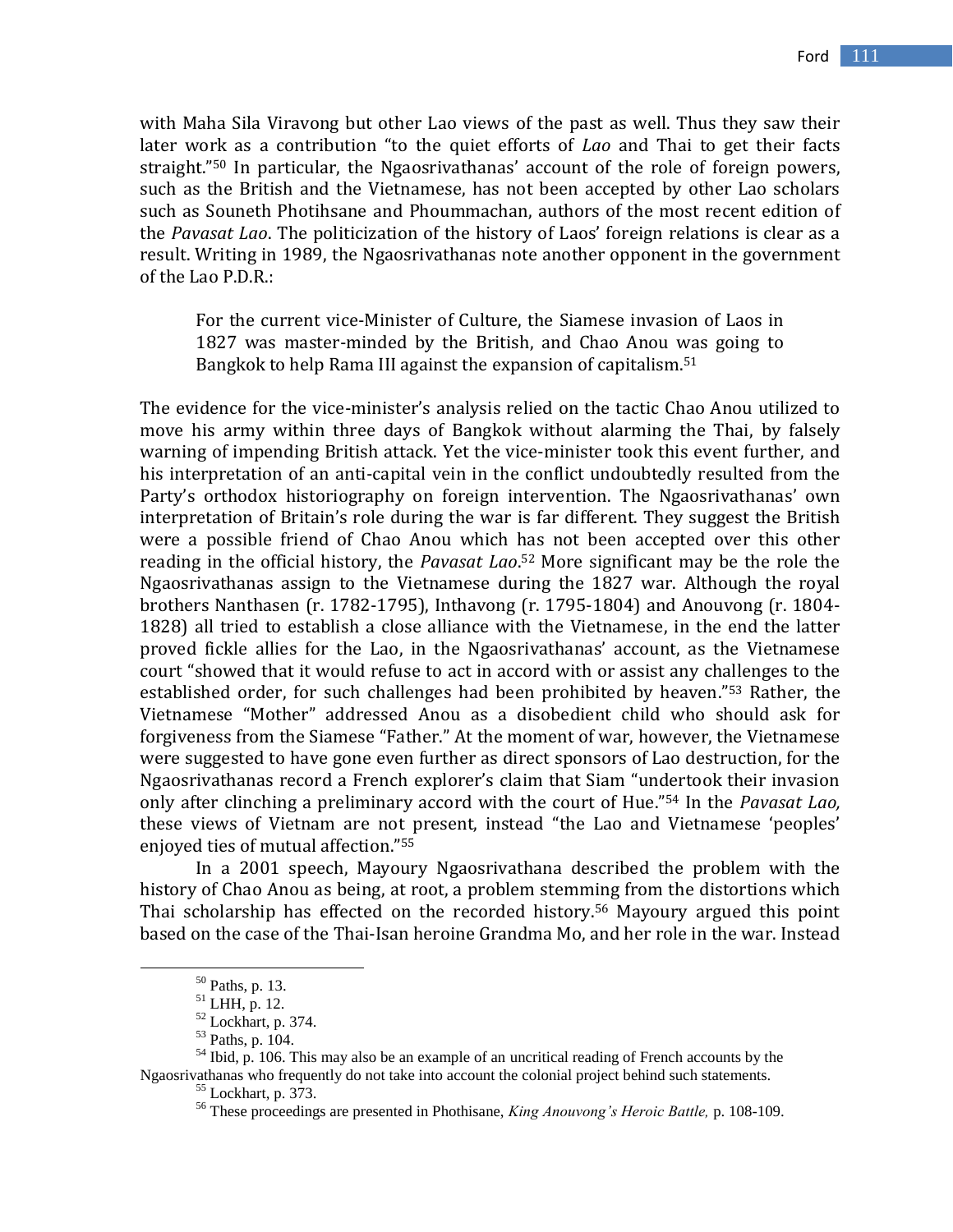with Maha Sila Viravong but other Lao views of the past as well. Thus they saw their later work as a contribution "to the quiet efforts of *Lao* and Thai to get their facts straight." <sup>50</sup> In particular, the Ngaosrivathanas' account of the role of foreign powers, such as the British and the Vietnamese, has not been accepted by other Lao scholars such as Souneth Photihsane and Phoummachan, authors of the most recent edition of the *Pavasat Lao*. The politicization of the history of Laos' foreign relations is clear as a result. Writing in 1989, the Ngaosrivathanas note another opponent in the government of the Lao P.D.R.:

For the current vice-Minister of Culture, the Siamese invasion of Laos in 1827 was master-minded by the British, and Chao Anou was going to Bangkok to help Rama III against the expansion of capitalism.<sup>51</sup>

The evidence for the vice-minister's analysis relied on the tactic Chao Anou utilized to move his army within three days of Bangkok without alarming the Thai, by falsely warning of impending British attack. Yet the vice-minister took this event further, and his interpretation of an anti-capital vein in the conflict undoubtedly resulted from the Party's orthodox historiography on foreign intervention. The Ngaosrivathanas' own interpretation of Britain's role during the war is far different. They suggest the British were a possible friend of Chao Anou which has not been accepted over this other reading in the official history, the *Pavasat Lao*. <sup>52</sup> More significant may be the role the Ngaosrivathanas assign to the Vietnamese during the 1827 war. Although the royal brothers Nanthasen (r. 1782-1795), Inthavong (r. 1795-1804) and Anouvong (r. 1804- 1828) all tried to establish a close alliance with the Vietnamese, in the end the latter proved fickle allies for the Lao, in the Ngaosrivathanas' account, as the Vietnamese court "showed that it would refuse to act in accord with or assist any challenges to the established order, for such challenges had been prohibited by heaven." <sup>53</sup> Rather, the Vietnamese "Mother" addressed Anou as a disobedient child who should ask for forgiveness from the Siamese "Father." At the moment of war, however, the Vietnamese were suggested to have gone even further as direct sponsors of Lao destruction, for the Ngaosrivathanas record a French explorer's claim that Siam "undertook their invasion only after clinching a preliminary accord with the court of Hue." <sup>54</sup> In the *Pavasat Lao,* these views of Vietnam are not present, instead "the Lao and Vietnamese 'peoples' enjoyed ties of mutual affection." 55

In a 2001 speech, Mayoury Ngaosrivathana described the problem with the history of Chao Anou as being, at root, a problem stemming from the distortions which Thai scholarship has effected on the recorded history. <sup>56</sup> Mayoury argued this point based on the case of the Thai-Isan heroine Grandma Mo, and her role in the war. Instead

<sup>50</sup> Paths, p. 13.

 $^{51}$  LHH, p. 12.

<sup>52</sup> Lockhart, p. 374.

<sup>53</sup> Paths, p. 104.

<sup>&</sup>lt;sup>54</sup> Ibid, p. 106. This may also be an example of an uncritical reading of French accounts by the Ngaosrivathanas who frequently do not take into account the colonial project behind such statements.

<sup>55</sup> Lockhart, p. 373.

<sup>56</sup> These proceedings are presented in Phothisane, *King Anouvong's Heroic Battle,* p. 108-109.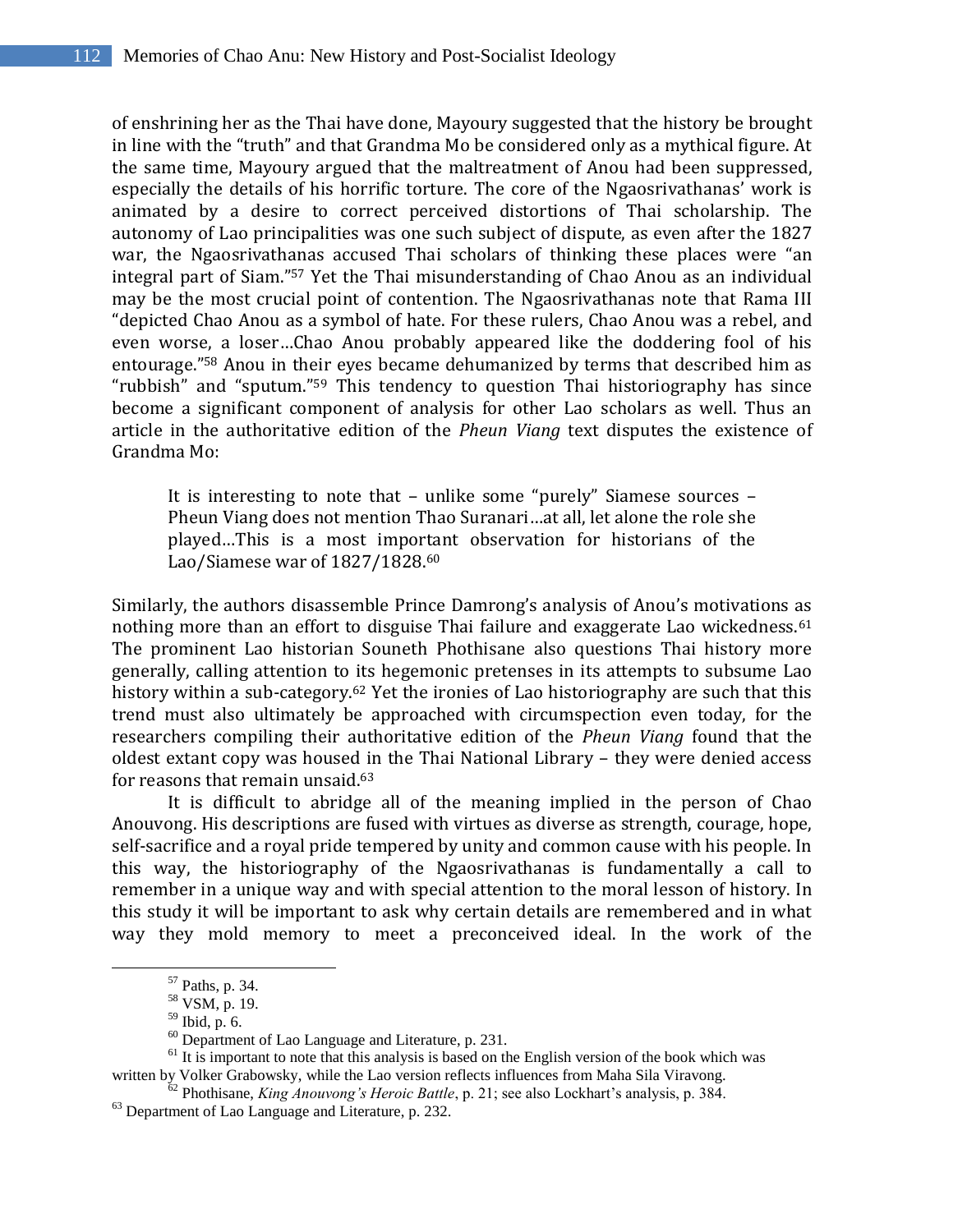of enshrining her as the Thai have done, Mayoury suggested that the history be brought in line with the "truth" and that Grandma Mo be considered only as a mythical figure. At the same time, Mayoury argued that the maltreatment of Anou had been suppressed, especially the details of his horrific torture. The core of the Ngaosrivathanas' work is animated by a desire to correct perceived distortions of Thai scholarship. The autonomy of Lao principalities was one such subject of dispute, as even after the 1827 war, the Ngaosrivathanas accused Thai scholars of thinking these places were "an integral part of Siam." <sup>57</sup> Yet the Thai misunderstanding of Chao Anou as an individual may be the most crucial point of contention. The Ngaosrivathanas note that Rama III "depicted Chao Anou as a symbol of hate. For these rulers, Chao Anou was a rebel, and even worse, a loser…Chao Anou probably appeared like the doddering fool of his entourage." <sup>58</sup> Anou in their eyes became dehumanized by terms that described him as "rubbish" and "sputum." <sup>59</sup> This tendency to question Thai historiography has since become a significant component of analysis for other Lao scholars as well. Thus an article in the authoritative edition of the *Pheun Viang* text disputes the existence of Grandma Mo:

It is interesting to note that – unlike some "purely" Siamese sources – Pheun Viang does not mention Thao Suranari…at all, let alone the role she played…This is a most important observation for historians of the Lao/Siamese war of 1827/1828.<sup>60</sup>

Similarly, the authors disassemble Prince Damrong's analysis of Anou's motivations as nothing more than an effort to disguise Thai failure and exaggerate Lao wickedness.<sup>61</sup> The prominent Lao historian Souneth Phothisane also questions Thai history more generally, calling attention to its hegemonic pretenses in its attempts to subsume Lao history within a sub-category.<sup>62</sup> Yet the ironies of Lao historiography are such that this trend must also ultimately be approached with circumspection even today, for the researchers compiling their authoritative edition of the *Pheun Viang* found that the oldest extant copy was housed in the Thai National Library – they were denied access for reasons that remain unsaid. 63

It is difficult to abridge all of the meaning implied in the person of Chao Anouvong. His descriptions are fused with virtues as diverse as strength, courage, hope, self-sacrifice and a royal pride tempered by unity and common cause with his people. In this way, the historiography of the Ngaosrivathanas is fundamentally a call to remember in a unique way and with special attention to the moral lesson of history. In this study it will be important to ask why certain details are remembered and in what way they mold memory to meet a preconceived ideal. In the work of the

<sup>57</sup> Paths, p. 34.

<sup>58</sup> VSM, p. 19.

<sup>59</sup> Ibid, p. 6.

<sup>60</sup> Department of Lao Language and Literature, p. 231.

 $<sup>61</sup>$  It is important to note that this analysis is based on the English version of the book which was</sup> written by Volker Grabowsky, while the Lao version reflects influences from Maha Sila Viravong.

<sup>62</sup> Phothisane, *King Anouvong's Heroic Battle*, p. 21; see also Lockhart"s analysis, p. 384.  $^{63}$  Department of Lao Language and Literature, p. 232.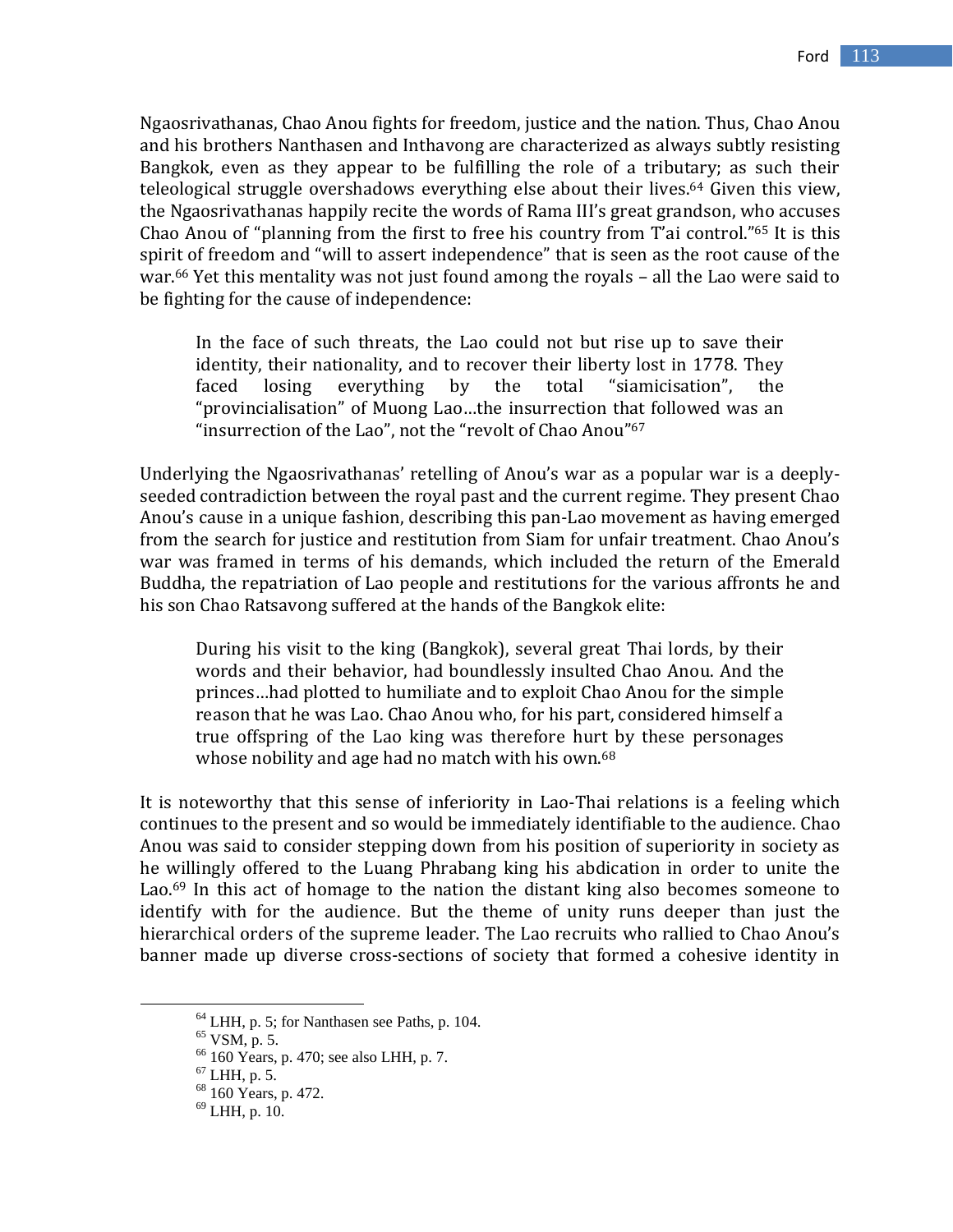Ngaosrivathanas, Chao Anou fights for freedom, justice and the nation. Thus, Chao Anou and his brothers Nanthasen and Inthavong are characterized as always subtly resisting Bangkok, even as they appear to be fulfilling the role of a tributary; as such their teleological struggle overshadows everything else about their lives. <sup>64</sup> Given this view, the Ngaosrivathanas happily recite the words of Rama III's great grandson, who accuses Chao Anou of "planning from the first to free his country from T'ai control." <sup>65</sup> It is this spirit of freedom and "will to assert independence" that is seen as the root cause of the war. <sup>66</sup> Yet this mentality was not just found among the royals – all the Lao were said to be fighting for the cause of independence:

In the face of such threats, the Lao could not but rise up to save their identity, their nationality, and to recover their liberty lost in 1778. They faced losing everything by the total "siamicisation", the "provincialisation" of Muong Lao…the insurrection that followed was an "insurrection of the Lao", not the "revolt of Chao Anou"<sup>67</sup>

Underlying the Ngaosrivathanas' retelling of Anou's war as a popular war is a deeplyseeded contradiction between the royal past and the current regime. They present Chao Anou's cause in a unique fashion, describing this pan-Lao movement as having emerged from the search for justice and restitution from Siam for unfair treatment. Chao Anou's war was framed in terms of his demands, which included the return of the Emerald Buddha, the repatriation of Lao people and restitutions for the various affronts he and his son Chao Ratsavong suffered at the hands of the Bangkok elite:

During his visit to the king (Bangkok), several great Thai lords, by their words and their behavior, had boundlessly insulted Chao Anou. And the princes…had plotted to humiliate and to exploit Chao Anou for the simple reason that he was Lao. Chao Anou who, for his part, considered himself a true offspring of the Lao king was therefore hurt by these personages whose nobility and age had no match with his own.<sup>68</sup>

It is noteworthy that this sense of inferiority in Lao-Thai relations is a feeling which continues to the present and so would be immediately identifiable to the audience. Chao Anou was said to consider stepping down from his position of superiority in society as he willingly offered to the Luang Phrabang king his abdication in order to unite the Lao.<sup>69</sup> In this act of homage to the nation the distant king also becomes someone to identify with for the audience. But the theme of unity runs deeper than just the hierarchical orders of the supreme leader. The Lao recruits who rallied to Chao Anou's banner made up diverse cross-sections of society that formed a cohesive identity in

<sup>64</sup> LHH, p. 5; for Nanthasen see Paths, p. 104.

<sup>65</sup> VSM, p. 5.

<sup>66</sup> 160 Years, p. 470; see also LHH, p. 7.

 $67$  LHH, p. 5.

<sup>68</sup> 160 Years, p. 472.

 $^{69}$  LHH, p. 10.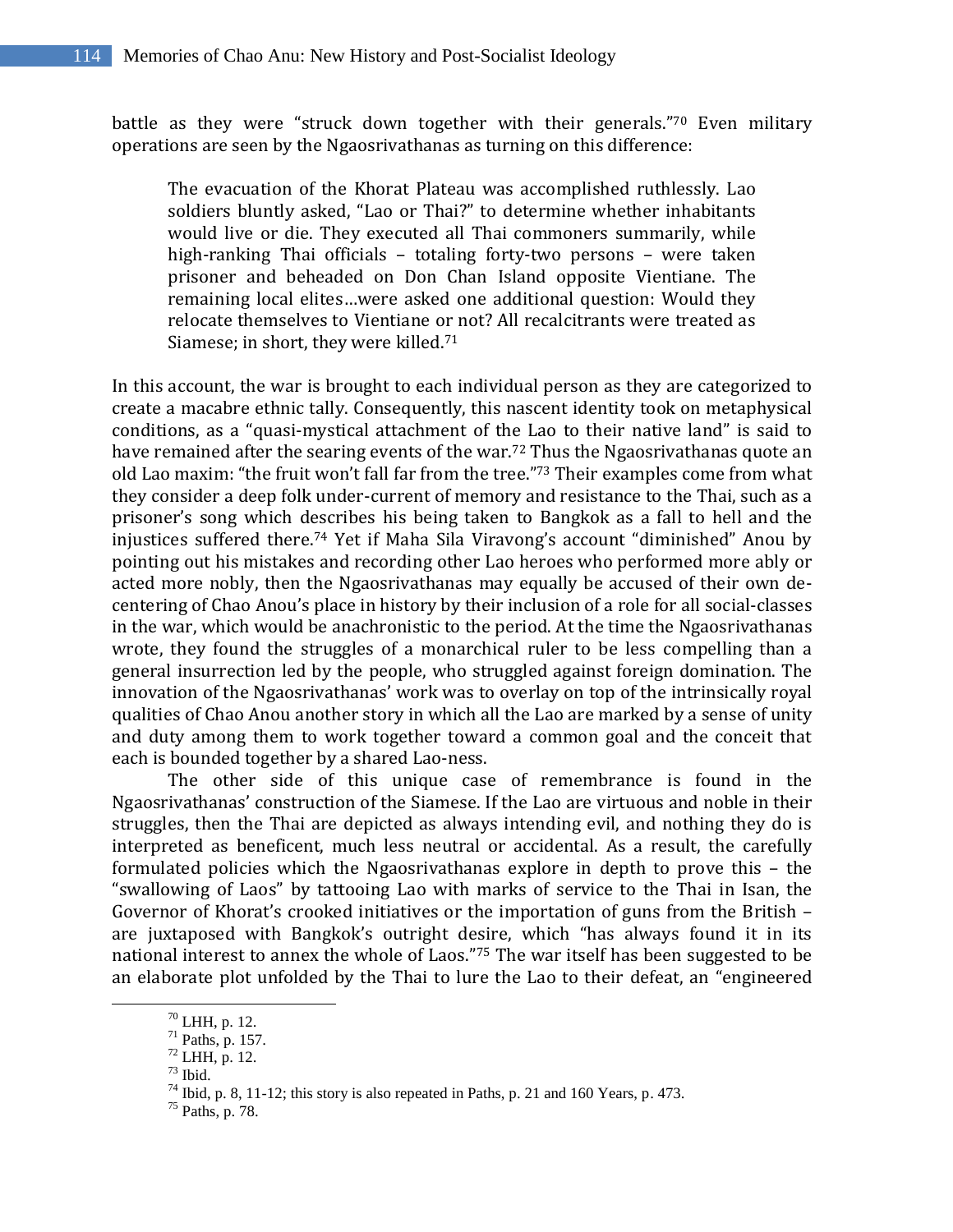battle as they were "struck down together with their generals."70 Even military operations are seen by the Ngaosrivathanas as turning on this difference:

The evacuation of the Khorat Plateau was accomplished ruthlessly. Lao soldiers bluntly asked, "Lao or Thai?" to determine whether inhabitants would live or die. They executed all Thai commoners summarily, while high-ranking Thai officials – totaling forty-two persons – were taken prisoner and beheaded on Don Chan Island opposite Vientiane. The remaining local elites…were asked one additional question: Would they relocate themselves to Vientiane or not? All recalcitrants were treated as Siamese; in short, they were killed.<sup>71</sup>

In this account, the war is brought to each individual person as they are categorized to create a macabre ethnic tally. Consequently, this nascent identity took on metaphysical conditions, as a "quasi-mystical attachment of the Lao to their native land" is said to have remained after the searing events of the war. <sup>72</sup> Thus the Ngaosrivathanas quote an old Lao maxim: "the fruit won't fall far from the tree." <sup>73</sup> Their examples come from what they consider a deep folk under-current of memory and resistance to the Thai, such as a prisoner's song which describes his being taken to Bangkok as a fall to hell and the injustices suffered there. <sup>74</sup> Yet if Maha Sila Viravong's account "diminished" Anou by pointing out his mistakes and recording other Lao heroes who performed more ably or acted more nobly, then the Ngaosrivathanas may equally be accused of their own decentering of Chao Anou's place in history by their inclusion of a role for all social-classes in the war, which would be anachronistic to the period. At the time the Ngaosrivathanas wrote, they found the struggles of a monarchical ruler to be less compelling than a general insurrection led by the people, who struggled against foreign domination. The innovation of the Ngaosrivathanas' work was to overlay on top of the intrinsically royal qualities of Chao Anou another story in which all the Lao are marked by a sense of unity and duty among them to work together toward a common goal and the conceit that each is bounded together by a shared Lao-ness.

The other side of this unique case of remembrance is found in the Ngaosrivathanas' construction of the Siamese. If the Lao are virtuous and noble in their struggles, then the Thai are depicted as always intending evil, and nothing they do is interpreted as beneficent, much less neutral or accidental. As a result, the carefully formulated policies which the Ngaosrivathanas explore in depth to prove this – the "swallowing of Laos" by tattooing Lao with marks of service to the Thai in Isan, the Governor of Khorat's crooked initiatives or the importation of guns from the British – are juxtaposed with Bangkok's outright desire, which "has always found it in its national interest to annex the whole of Laos." <sup>75</sup> The war itself has been suggested to be an elaborate plot unfolded by the Thai to lure the Lao to their defeat, an "engineered

<sup>70</sup> LHH, p. 12.

<sup>71</sup> Paths, p. 157.

<sup>72</sup> LHH, p. 12.

 $73$  Ibid.

 $^{74}$  Ibid, p. 8, 11-12; this story is also repeated in Paths, p. 21 and 160 Years, p. 473.

<sup>75</sup> Paths, p. 78.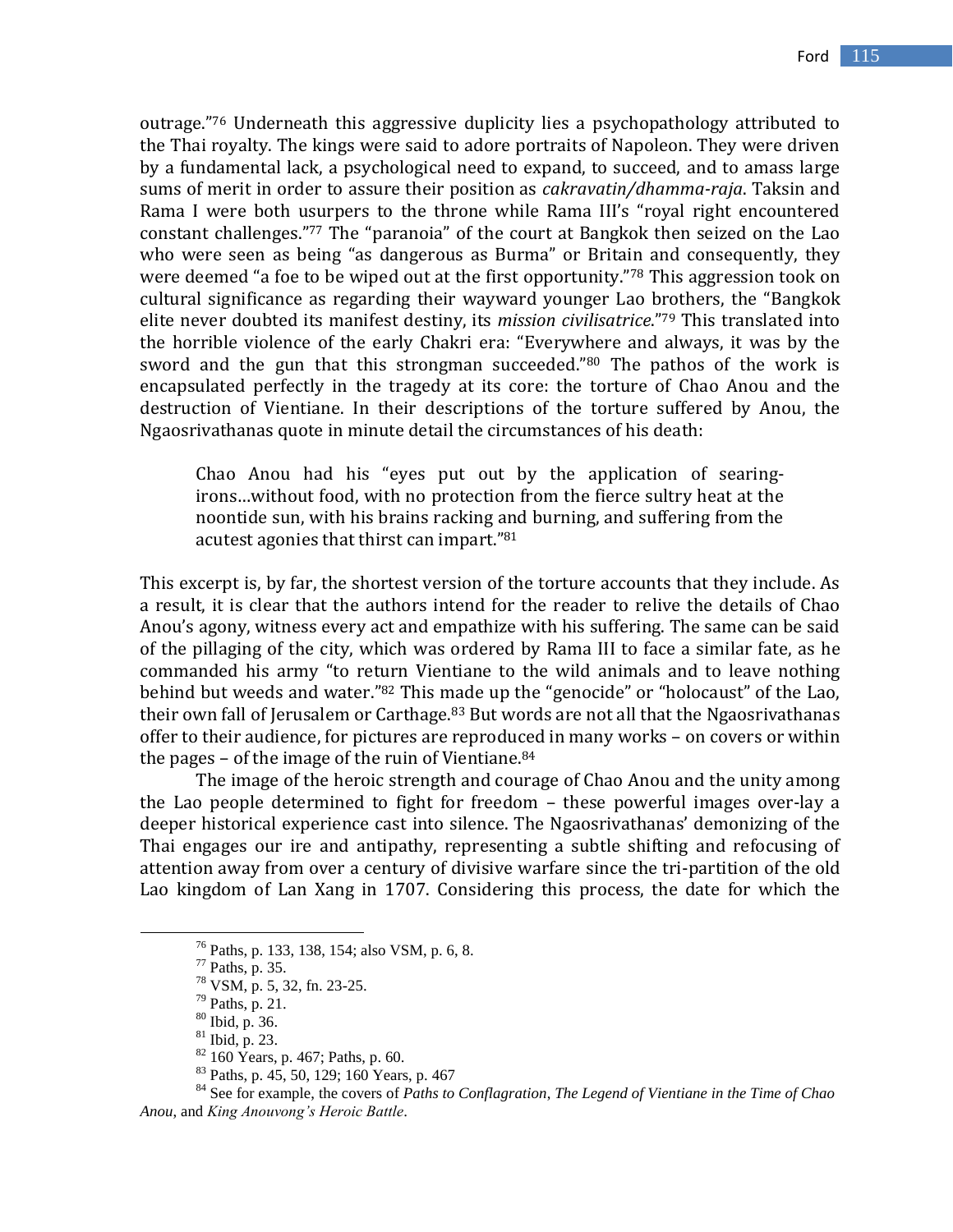outrage." <sup>76</sup> Underneath this aggressive duplicity lies a psychopathology attributed to the Thai royalty. The kings were said to adore portraits of Napoleon. They were driven by a fundamental lack, a psychological need to expand, to succeed, and to amass large sums of merit in order to assure their position as *cakravatin/dhamma-raja*. Taksin and Rama I were both usurpers to the throne while Rama III's "royal right encountered constant challenges." <sup>77</sup> The "paranoia" of the court at Bangkok then seized on the Lao who were seen as being "as dangerous as Burma" or Britain and consequently, they were deemed "a foe to be wiped out at the first opportunity." <sup>78</sup> This aggression took on cultural significance as regarding their wayward younger Lao brothers, the "Bangkok elite never doubted its manifest destiny, its *mission civilisatrice*." <sup>79</sup> This translated into the horrible violence of the early Chakri era: "Everywhere and always, it was by the sword and the gun that this strongman succeeded."<sup>80</sup> The pathos of the work is encapsulated perfectly in the tragedy at its core: the torture of Chao Anou and the destruction of Vientiane. In their descriptions of the torture suffered by Anou, the Ngaosrivathanas quote in minute detail the circumstances of his death:

Chao Anou had his "eyes put out by the application of searingirons…without food, with no protection from the fierce sultry heat at the noontide sun, with his brains racking and burning, and suffering from the acutest agonies that thirst can impart." 81

This excerpt is, by far, the shortest version of the torture accounts that they include. As a result, it is clear that the authors intend for the reader to relive the details of Chao Anou's agony, witness every act and empathize with his suffering. The same can be said of the pillaging of the city, which was ordered by Rama III to face a similar fate, as he commanded his army "to return Vientiane to the wild animals and to leave nothing behind but weeds and water."<sup>82</sup> This made up the "genocide" or "holocaust" of the Lao, their own fall of Jerusalem or Carthage. <sup>83</sup> But words are not all that the Ngaosrivathanas offer to their audience, for pictures are reproduced in many works – on covers or within the pages – of the image of the ruin of Vientiane. $84$ 

The image of the heroic strength and courage of Chao Anou and the unity among the Lao people determined to fight for freedom – these powerful images over-lay a deeper historical experience cast into silence. The Ngaosrivathanas' demonizing of the Thai engages our ire and antipathy, representing a subtle shifting and refocusing of attention away from over a century of divisive warfare since the tri-partition of the old Lao kingdom of Lan Xang in 1707. Considering this process, the date for which the

 $\overline{a}$ 

<sup>84</sup> See for example, the covers of *Paths to Conflagration*, *The Legend of Vientiane in the Time of Chao Anou*, and *King Anouvong's Heroic Battle*.

<sup>76</sup> Paths, p. 133, 138, 154; also VSM, p. 6, 8.

<sup>77</sup> Paths, p. 35.

<sup>78</sup> VSM, p. 5, 32, fn. 23-25.

 $79$  Paths, p. 21.

<sup>80</sup> Ibid, p. 36.

<sup>81</sup> Ibid, p. 23.

<sup>82</sup> 160 Years, p. 467; Paths, p. 60.

<sup>83</sup> Paths, p. 45, 50, 129; 160 Years, p. 467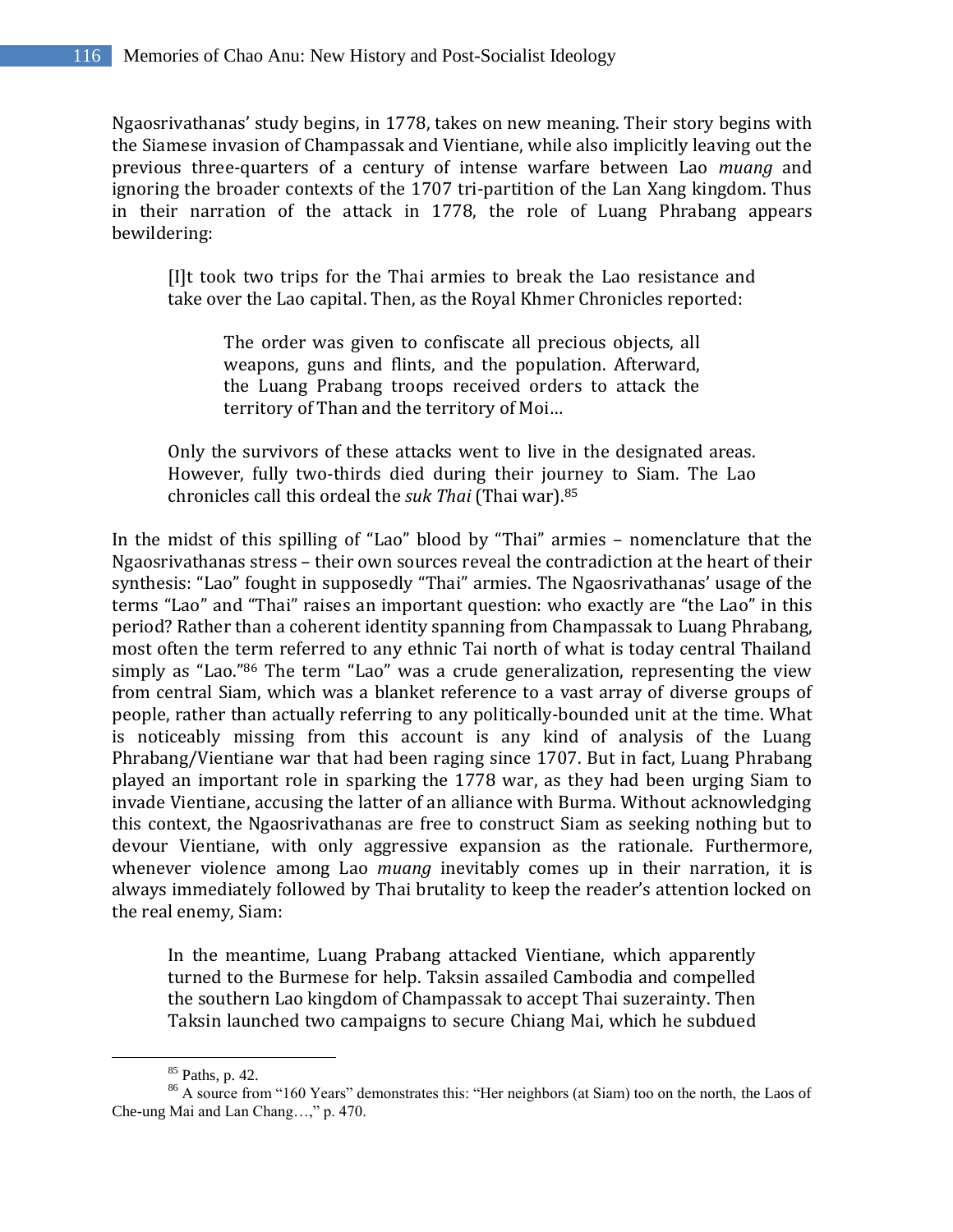Ngaosrivathanas' study begins, in 1778, takes on new meaning. Their story begins with the Siamese invasion of Champassak and Vientiane, while also implicitly leaving out the previous three-quarters of a century of intense warfare between Lao *muang* and ignoring the broader contexts of the 1707 tri-partition of the Lan Xang kingdom. Thus in their narration of the attack in 1778, the role of Luang Phrabang appears bewildering:

[I]t took two trips for the Thai armies to break the Lao resistance and take over the Lao capital. Then, as the Royal Khmer Chronicles reported:

The order was given to confiscate all precious objects, all weapons, guns and flints, and the population. Afterward, the Luang Prabang troops received orders to attack the territory of Than and the territory of Moi…

Only the survivors of these attacks went to live in the designated areas. However, fully two-thirds died during their journey to Siam. The Lao chronicles call this ordeal the *suk Thai* (Thai war).<sup>85</sup>

In the midst of this spilling of "Lao" blood by "Thai" armies – nomenclature that the Ngaosrivathanas stress – their own sources reveal the contradiction at the heart of their synthesis: "Lao" fought in supposedly "Thai" armies. The Ngaosrivathanas' usage of the terms "Lao" and "Thai" raises an important question: who exactly are "the Lao" in this period? Rather than a coherent identity spanning from Champassak to Luang Phrabang, most often the term referred to any ethnic Tai north of what is today central Thailand simply as "Lao."<sup>86</sup> The term "Lao" was a crude generalization, representing the view from central Siam, which was a blanket reference to a vast array of diverse groups of people, rather than actually referring to any politically-bounded unit at the time. What is noticeably missing from this account is any kind of analysis of the Luang Phrabang/Vientiane war that had been raging since 1707. But in fact, Luang Phrabang played an important role in sparking the 1778 war, as they had been urging Siam to invade Vientiane, accusing the latter of an alliance with Burma. Without acknowledging this context, the Ngaosrivathanas are free to construct Siam as seeking nothing but to devour Vientiane, with only aggressive expansion as the rationale. Furthermore, whenever violence among Lao *muang* inevitably comes up in their narration, it is always immediately followed by Thai brutality to keep the reader's attention locked on the real enemy, Siam:

In the meantime, Luang Prabang attacked Vientiane, which apparently turned to the Burmese for help. Taksin assailed Cambodia and compelled the southern Lao kingdom of Champassak to accept Thai suzerainty. Then Taksin launched two campaigns to secure Chiang Mai, which he subdued

<sup>85</sup> Paths, p. 42.

<sup>&</sup>lt;sup>86</sup> A source from "160 Years" demonstrates this: "Her neighbors (at Siam) too on the north, the Laos of Che-ung Mai and Lan Chang…," p. 470.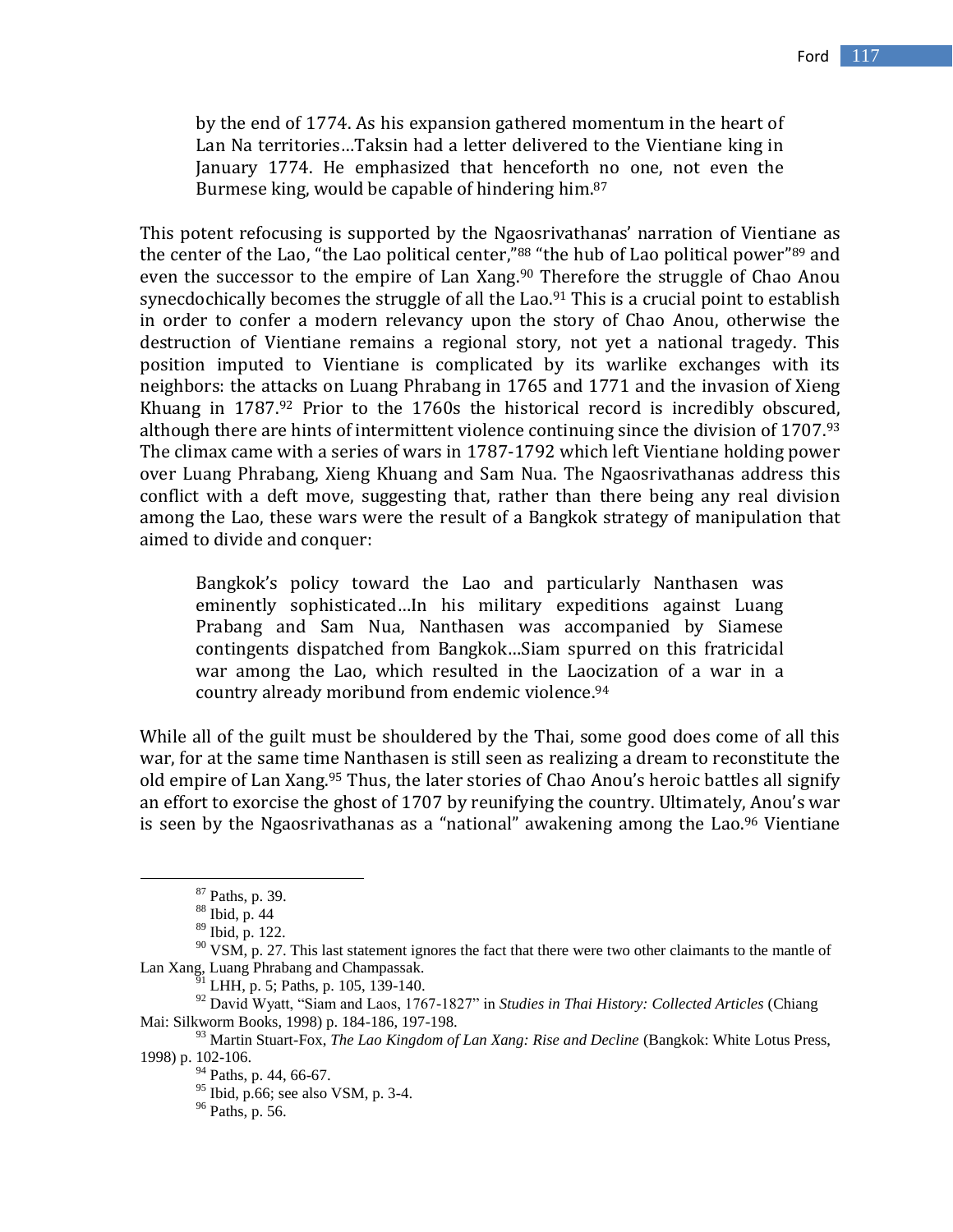by the end of 1774. As his expansion gathered momentum in the heart of Lan Na territories…Taksin had a letter delivered to the Vientiane king in January 1774. He emphasized that henceforth no one, not even the Burmese king, would be capable of hindering him.<sup>87</sup>

This potent refocusing is supported by the Ngaosrivathanas' narration of Vientiane as the center of the Lao, "the Lao political center,"<sup>88</sup> "the hub of Lao political power"<sup>89</sup> and even the successor to the empire of Lan Xang.<sup>90</sup> Therefore the struggle of Chao Anou synecdochically becomes the struggle of all the Lao.<sup>91</sup> This is a crucial point to establish in order to confer a modern relevancy upon the story of Chao Anou, otherwise the destruction of Vientiane remains a regional story, not yet a national tragedy. This position imputed to Vientiane is complicated by its warlike exchanges with its neighbors: the attacks on Luang Phrabang in 1765 and 1771 and the invasion of Xieng Khuang in 1787.<sup>92</sup> Prior to the 1760s the historical record is incredibly obscured, although there are hints of intermittent violence continuing since the division of 1707. 93 The climax came with a series of wars in 1787-1792 which left Vientiane holding power over Luang Phrabang, Xieng Khuang and Sam Nua. The Ngaosrivathanas address this conflict with a deft move, suggesting that, rather than there being any real division among the Lao, these wars were the result of a Bangkok strategy of manipulation that aimed to divide and conquer:

Bangkok's policy toward the Lao and particularly Nanthasen was eminently sophisticated…In his military expeditions against Luang Prabang and Sam Nua, Nanthasen was accompanied by Siamese contingents dispatched from Bangkok…Siam spurred on this fratricidal war among the Lao, which resulted in the Laocization of a war in a country already moribund from endemic violence.<sup>94</sup>

While all of the guilt must be shouldered by the Thai, some good does come of all this war, for at the same time Nanthasen is still seen as realizing a dream to reconstitute the old empire of Lan Xang.<sup>95</sup> Thus, the later stories of Chao Anou's heroic battles all signify an effort to exorcise the ghost of 1707 by reunifying the country. Ultimately, Anou's war is seen by the Ngaosrivathanas as a "national" awakening among the Lao. <sup>96</sup> Vientiane

 $87$  Paths, p. 39.

<sup>88</sup> Ibid, p. 44

<sup>89</sup> Ibid, p. 122.

 $90$  VSM, p. 27. This last statement ignores the fact that there were two other claimants to the mantle of Lan Xang, Luang Phrabang and Champassak.

 $\frac{6}{91}$  LHH, p. 5; Paths, p. 105, 139-140.

<sup>92</sup> David Wyatt, "Siam and Laos, 1767-1827" in *Studies in Thai History: Collected Articles* (Chiang Mai: Silkworm Books, 1998) p. 184-186, 197-198.

<sup>93</sup> Martin Stuart-Fox, *The Lao Kingdom of Lan Xang: Rise and Decline* (Bangkok: White Lotus Press, 1998) p. 102-106.

<sup>&</sup>lt;sup>94</sup> Paths, p. 44, 66-67.

 $95$  Ibid, p.66; see also VSM, p. 3-4.

<sup>96</sup> Paths, p. 56.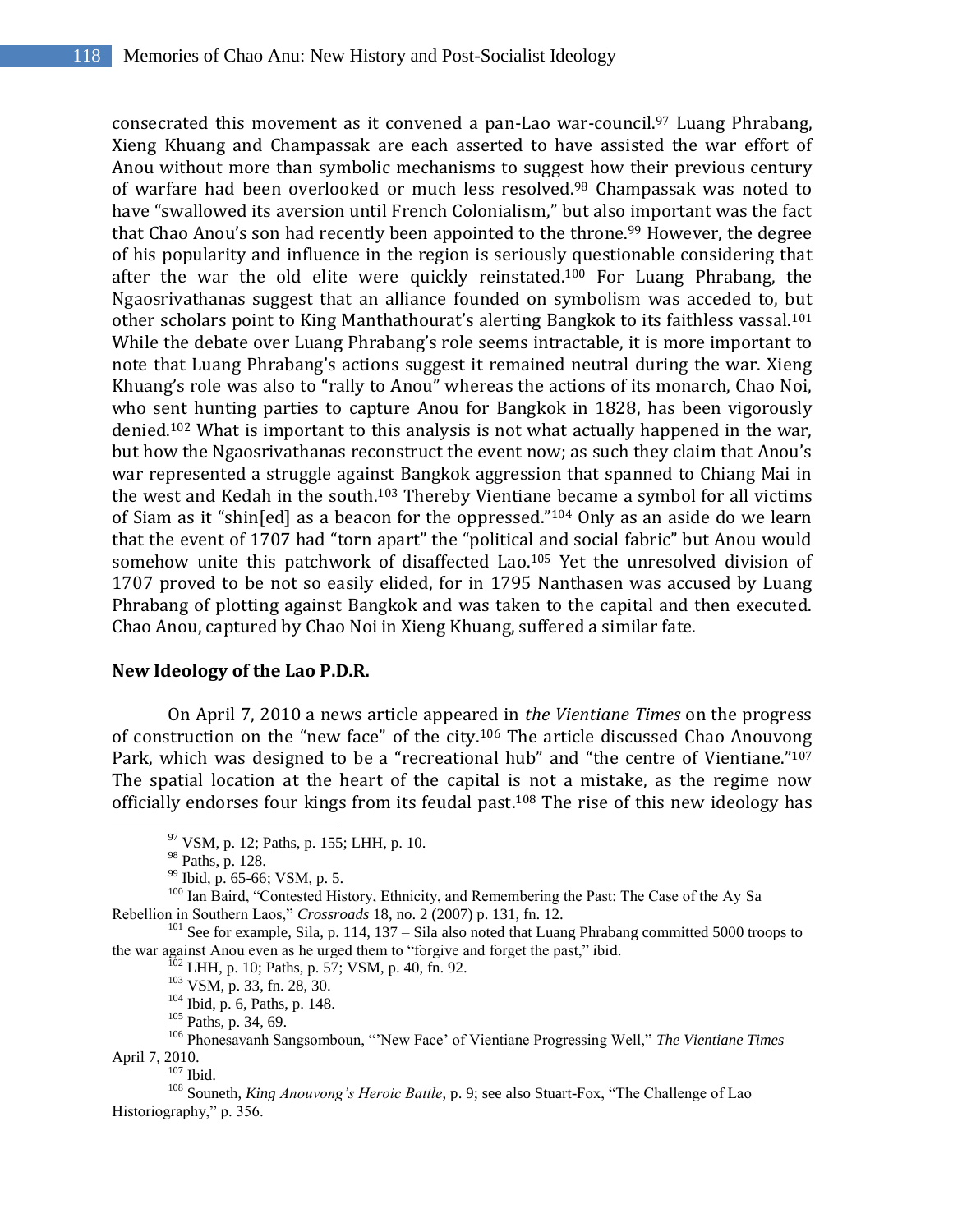consecrated this movement as it convened a pan-Lao war-council. <sup>97</sup> Luang Phrabang, Xieng Khuang and Champassak are each asserted to have assisted the war effort of Anou without more than symbolic mechanisms to suggest how their previous century of warfare had been overlooked or much less resolved. <sup>98</sup> Champassak was noted to have "swallowed its aversion until French Colonialism," but also important was the fact that Chao Anou's son had recently been appointed to the throne. <sup>99</sup> However, the degree of his popularity and influence in the region is seriously questionable considering that after the war the old elite were quickly reinstated. <sup>100</sup> For Luang Phrabang, the Ngaosrivathanas suggest that an alliance founded on symbolism was acceded to, but other scholars point to King Manthathourat's alerting Bangkok to its faithless vassal.<sup>101</sup> While the debate over Luang Phrabang's role seems intractable, it is more important to note that Luang Phrabang's actions suggest it remained neutral during the war. Xieng Khuang's role was also to "rally to Anou" whereas the actions of its monarch, Chao Noi, who sent hunting parties to capture Anou for Bangkok in 1828, has been vigorously denied. <sup>102</sup> What is important to this analysis is not what actually happened in the war, but how the Ngaosrivathanas reconstruct the event now; as such they claim that Anou's war represented a struggle against Bangkok aggression that spanned to Chiang Mai in the west and Kedah in the south.<sup>103</sup> Thereby Vientiane became a symbol for all victims of Siam as it "shin[ed] as a beacon for the oppressed." <sup>104</sup> Only as an aside do we learn that the event of 1707 had "torn apart" the "political and social fabric" but Anou would somehow unite this patchwork of disaffected Lao. <sup>105</sup> Yet the unresolved division of 1707 proved to be not so easily elided, for in 1795 Nanthasen was accused by Luang Phrabang of plotting against Bangkok and was taken to the capital and then executed. Chao Anou, captured by Chao Noi in Xieng Khuang, suffered a similar fate.

#### **New Ideology of the Lao P.D.R.**

On April 7, 2010 a news article appeared in *the Vientiane Times* on the progress of construction on the "new face" of the city.<sup>106</sup> The article discussed Chao Anouvong Park, which was designed to be a "recreational hub" and "the centre of Vientiane."<sup>107</sup> The spatial location at the heart of the capital is not a mistake, as the regime now officially endorses four kings from its feudal past. <sup>108</sup> The rise of this new ideology has

 $\overline{a}$ 

<sup>105</sup> Paths, p. 34, 69.

<sup>97</sup> VSM, p. 12; Paths, p. 155; LHH, p. 10.

<sup>98</sup> Paths, p. 128.

<sup>99</sup> Ibid, p. 65-66; VSM, p. 5.

<sup>&</sup>lt;sup>100</sup> Ian Baird, "Contested History, Ethnicity, and Remembering the Past: The Case of the Ay Sa Rebellion in Southern Laos," *Crossroads* 18, no. 2 (2007) p. 131, fn. 12.

<sup>&</sup>lt;sup>101</sup> See for example, Sila, p. 114, 137 – Sila also noted that Luang Phrabang committed 5000 troops to the war against Anou even as he urged them to "forgive and forget the past," ibid.

 $102$  LHH, p. 10; Paths, p. 57; VSM, p. 40, fn. 92.

<sup>103</sup> VSM, p. 33, fn. 28, 30.

<sup>104</sup> Ibid, p. 6, Paths, p. 148.

<sup>106</sup> Phonesavanh Sangsomboun, ""New Face" of Vientiane Progressing Well," *The Vientiane Times*  April 7, 2010.

 $107$  Ibid.

<sup>108</sup> Souneth, *King Anouvong's Heroic Battle*, p. 9; see also Stuart-Fox, "The Challenge of Lao Historiography," p. 356.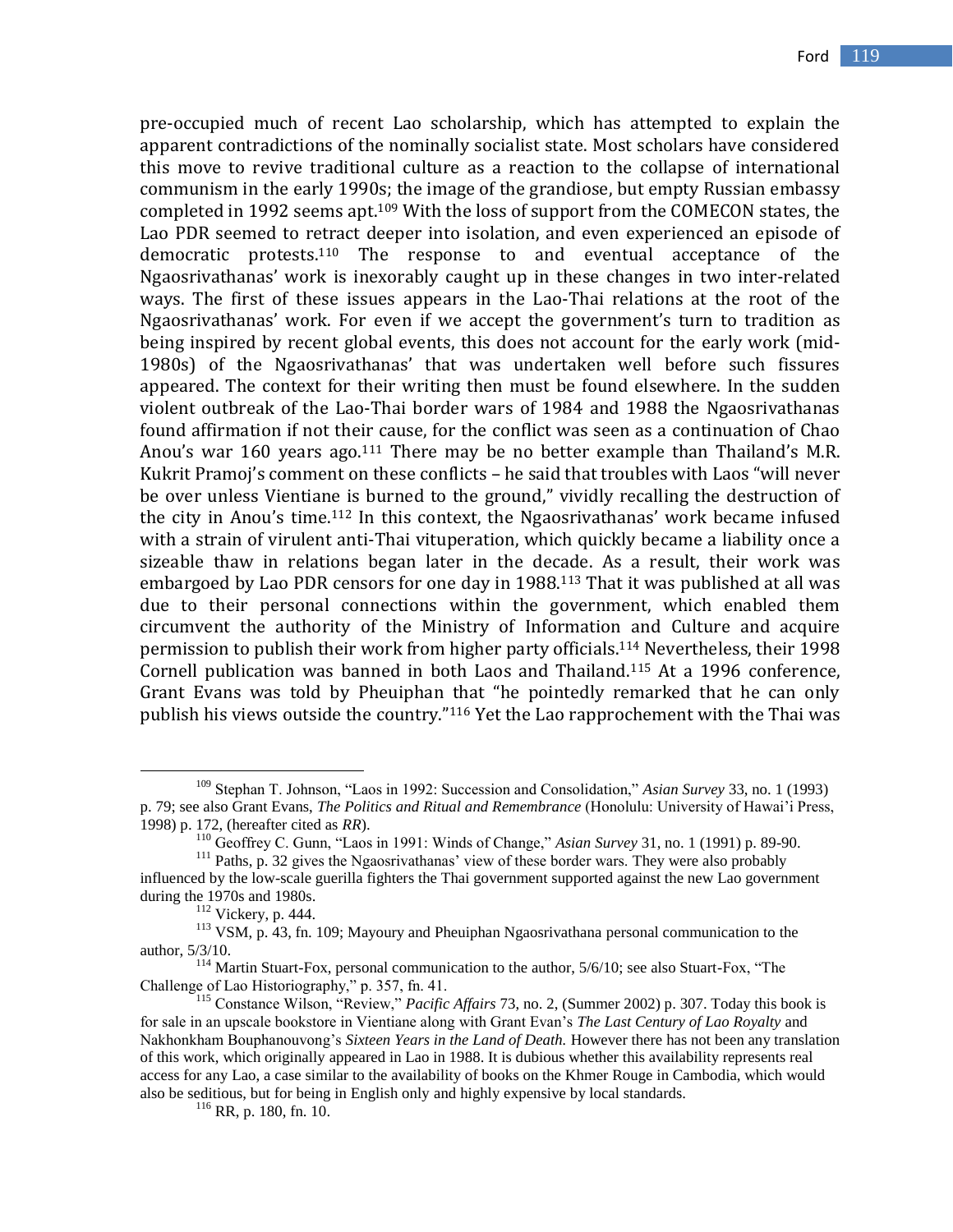pre-occupied much of recent Lao scholarship, which has attempted to explain the apparent contradictions of the nominally socialist state. Most scholars have considered this move to revive traditional culture as a reaction to the collapse of international communism in the early 1990s; the image of the grandiose, but empty Russian embassy completed in 1992 seems apt.<sup>109</sup> With the loss of support from the COMECON states, the Lao PDR seemed to retract deeper into isolation, and even experienced an episode of democratic protests. <sup>110</sup> The response to and eventual acceptance of the Ngaosrivathanas' work is inexorably caught up in these changes in two inter-related ways. The first of these issues appears in the Lao-Thai relations at the root of the Ngaosrivathanas' work. For even if we accept the government's turn to tradition as being inspired by recent global events, this does not account for the early work (mid-1980s) of the Ngaosrivathanas' that was undertaken well before such fissures appeared. The context for their writing then must be found elsewhere. In the sudden violent outbreak of the Lao-Thai border wars of 1984 and 1988 the Ngaosrivathanas found affirmation if not their cause, for the conflict was seen as a continuation of Chao Anou's war 160 years ago.<sup>111</sup> There may be no better example than Thailand's M.R. Kukrit Pramoj's comment on these conflicts – he said that troubles with Laos "will never be over unless Vientiane is burned to the ground," vividly recalling the destruction of the city in Anou's time. <sup>112</sup> In this context, the Ngaosrivathanas' work became infused with a strain of virulent anti-Thai vituperation, which quickly became a liability once a sizeable thaw in relations began later in the decade. As a result, their work was embargoed by Lao PDR censors for one day in 1988. <sup>113</sup> That it was published at all was due to their personal connections within the government, which enabled them circumvent the authority of the Ministry of Information and Culture and acquire permission to publish their work from higher party officials.<sup>114</sup> Nevertheless, their 1998 Cornell publication was banned in both Laos and Thailand. <sup>115</sup> At a 1996 conference, Grant Evans was told by Pheuiphan that "he pointedly remarked that he can only publish his views outside the country."<sup>116</sup> Yet the Lao rapprochement with the Thai was

<sup>109</sup> Stephan T. Johnson, "Laos in 1992: Succession and Consolidation," *Asian Survey* 33, no. 1 (1993) p. 79; see also Grant Evans, *The Politics and Ritual and Remembrance* (Honolulu: University of Hawai"i Press, 1998) p. 172, (hereafter cited as *RR*).

<sup>110</sup> Geoffrey C. Gunn, "Laos in 1991: Winds of Change," *Asian Survey* 31, no. 1 (1991) p. 89-90.

<sup>&</sup>lt;sup>111</sup> Paths, p. 32 gives the Ngaosrivathanas' view of these border wars. They were also probably influenced by the low-scale guerilla fighters the Thai government supported against the new Lao government during the 1970s and 1980s.

<sup>112</sup> Vickery, p. 444.

<sup>113</sup> VSM, p. 43, fn. 109; Mayoury and Pheuiphan Ngaosrivathana personal communication to the author, 5/3/10.

<sup>&</sup>lt;sup>114</sup> Martin Stuart-Fox, personal communication to the author, 5/6/10; see also Stuart-Fox, "The Challenge of Lao Historiography," p. 357, fn. 41.

<sup>115</sup> Constance Wilson, "Review," *Pacific Affairs* 73, no. 2, (Summer 2002) p. 307. Today this book is for sale in an upscale bookstore in Vientiane along with Grant Evan"s *The Last Century of Lao Royalty* and Nakhonkham Bouphanouvong"s *Sixteen Years in the Land of Death.* However there has not been any translation of this work, which originally appeared in Lao in 1988. It is dubious whether this availability represents real access for any Lao, a case similar to the availability of books on the Khmer Rouge in Cambodia, which would also be seditious, but for being in English only and highly expensive by local standards.

<sup>116</sup> RR, p. 180, fn. 10.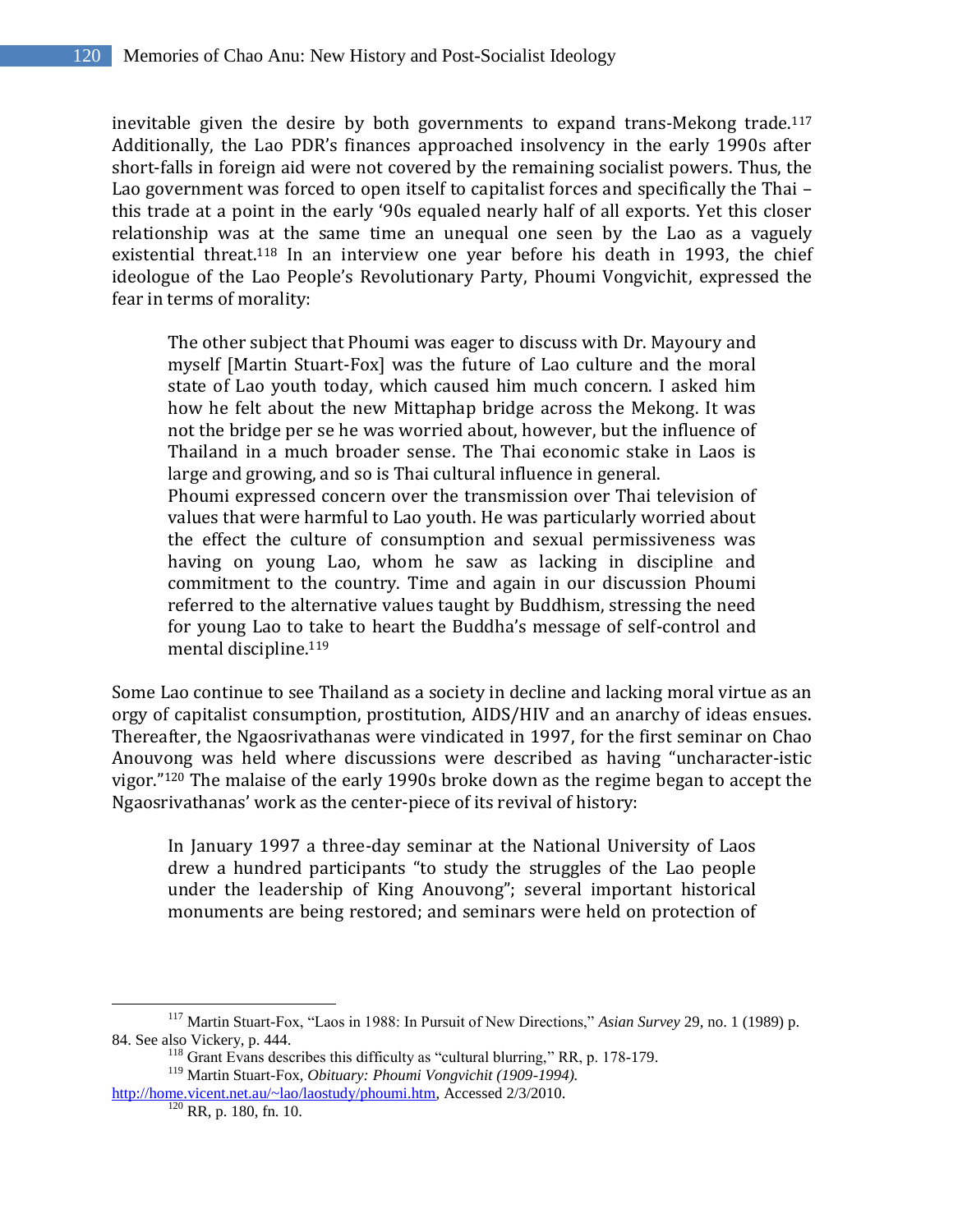inevitable given the desire by both governments to expand trans-Mekong trade. 117 Additionally, the Lao PDR's finances approached insolvency in the early 1990s after short-falls in foreign aid were not covered by the remaining socialist powers. Thus, the Lao government was forced to open itself to capitalist forces and specifically the Thai – this trade at a point in the early '90s equaled nearly half of all exports. Yet this closer relationship was at the same time an unequal one seen by the Lao as a vaguely existential threat.<sup>118</sup> In an interview one year before his death in 1993, the chief ideologue of the Lao People's Revolutionary Party, Phoumi Vongvichit, expressed the fear in terms of morality:

The other subject that Phoumi was eager to discuss with Dr. Mayoury and myself [Martin Stuart-Fox] was the future of Lao culture and the moral state of Lao youth today, which caused him much concern. I asked him how he felt about the new Mittaphap bridge across the Mekong. It was not the bridge per se he was worried about, however, but the influence of Thailand in a much broader sense. The Thai economic stake in Laos is large and growing, and so is Thai cultural influence in general.

Phoumi expressed concern over the transmission over Thai television of values that were harmful to Lao youth. He was particularly worried about the effect the culture of consumption and sexual permissiveness was having on young Lao, whom he saw as lacking in discipline and commitment to the country. Time and again in our discussion Phoumi referred to the alternative values taught by Buddhism, stressing the need for young Lao to take to heart the Buddha's message of self-control and mental discipline.<sup>119</sup>

Some Lao continue to see Thailand as a society in decline and lacking moral virtue as an orgy of capitalist consumption, prostitution, AIDS/HIV and an anarchy of ideas ensues. Thereafter, the Ngaosrivathanas were vindicated in 1997, for the first seminar on Chao Anouvong was held where discussions were described as having "uncharacter-istic vigor." <sup>120</sup> The malaise of the early 1990s broke down as the regime began to accept the Ngaosrivathanas' work as the center-piece of its revival of history:

In January 1997 a three-day seminar at the National University of Laos drew a hundred participants "to study the struggles of the Lao people under the leadership of King Anouvong"; several important historical monuments are being restored; and seminars were held on protection of

<sup>117</sup> Martin Stuart-Fox, "Laos in 1988: In Pursuit of New Directions," *Asian Survey* 29, no. 1 (1989) p. 84. See also Vickery, p. 444.

 $118$  Grant Evans describes this difficulty as "cultural blurring," RR, p. 178-179.

<sup>119</sup> Martin Stuart-Fox, *Obituary: Phoumi Vongvichit (1909-1994).* 

[http://home.vicent.net.au/~lao/laostudy/phoumi.htm,](http://home.vicent.net.au/~lao/laostudy/phoumi.htm) Accessed 2/3/2010.  $120$  RR, p. 180, fn. 10.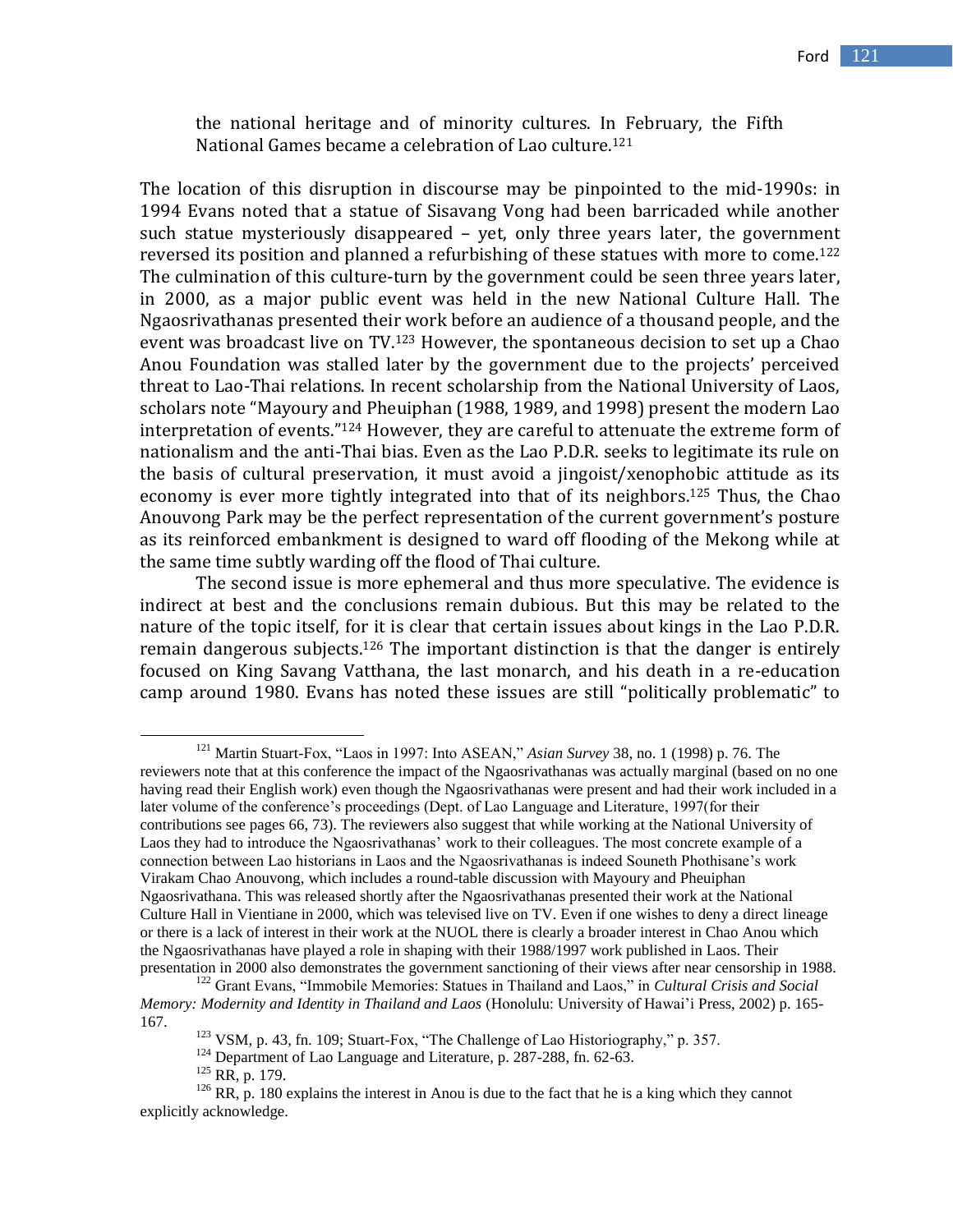the national heritage and of minority cultures. In February, the Fifth National Games became a celebration of Lao culture.<sup>121</sup>

The location of this disruption in discourse may be pinpointed to the mid-1990s: in 1994 Evans noted that a statue of Sisavang Vong had been barricaded while another such statue mysteriously disappeared – yet, only three years later, the government reversed its position and planned a refurbishing of these statues with more to come. 122 The culmination of this culture-turn by the government could be seen three years later, in 2000, as a major public event was held in the new National Culture Hall. The Ngaosrivathanas presented their work before an audience of a thousand people, and the event was broadcast live on TV.<sup>123</sup> However, the spontaneous decision to set up a Chao Anou Foundation was stalled later by the government due to the projects' perceived threat to Lao-Thai relations. In recent scholarship from the National University of Laos, scholars note "Mayoury and Pheuiphan (1988, 1989, and 1998) present the modern Lao interpretation of events." <sup>124</sup> However, they are careful to attenuate the extreme form of nationalism and the anti-Thai bias. Even as the Lao P.D.R. seeks to legitimate its rule on the basis of cultural preservation, it must avoid a jingoist/xenophobic attitude as its economy is ever more tightly integrated into that of its neighbors.<sup>125</sup> Thus, the Chao Anouvong Park may be the perfect representation of the current government's posture as its reinforced embankment is designed to ward off flooding of the Mekong while at the same time subtly warding off the flood of Thai culture.

The second issue is more ephemeral and thus more speculative. The evidence is indirect at best and the conclusions remain dubious. But this may be related to the nature of the topic itself, for it is clear that certain issues about kings in the Lao P.D.R. remain dangerous subjects.<sup>126</sup> The important distinction is that the danger is entirely focused on King Savang Vatthana, the last monarch, and his death in a re-education camp around 1980. Evans has noted these issues are still "politically problematic" to

<sup>124</sup> Department of Lao Language and Literature, p. 287-288, fn. 62-63.

<sup>121</sup> Martin Stuart-Fox, "Laos in 1997: Into ASEAN," *Asian Survey* 38, no. 1 (1998) p. 76. The reviewers note that at this conference the impact of the Ngaosrivathanas was actually marginal (based on no one having read their English work) even though the Ngaosrivathanas were present and had their work included in a later volume of the conference's proceedings (Dept. of Lao Language and Literature, 1997(for their contributions see pages 66, 73). The reviewers also suggest that while working at the National University of Laos they had to introduce the Ngaosrivathanas" work to their colleagues. The most concrete example of a connection between Lao historians in Laos and the Ngaosrivathanas is indeed Souneth Phothisane"s work Virakam Chao Anouvong, which includes a round-table discussion with Mayoury and Pheuiphan Ngaosrivathana. This was released shortly after the Ngaosrivathanas presented their work at the National Culture Hall in Vientiane in 2000, which was televised live on TV. Even if one wishes to deny a direct lineage or there is a lack of interest in their work at the NUOL there is clearly a broader interest in Chao Anou which the Ngaosrivathanas have played a role in shaping with their 1988/1997 work published in Laos. Their presentation in 2000 also demonstrates the government sanctioning of their views after near censorship in 1988.

<sup>122</sup> Grant Evans, "Immobile Memories: Statues in Thailand and Laos," in *Cultural Crisis and Social Memory: Modernity and Identity in Thailand and Laos* (Honolulu: University of Hawai"i Press, 2002) p. 165- 167.

<sup>123</sup> VSM, p. 43, fn. 109; Stuart-Fox, "The Challenge of Lao Historiography," p. 357.

<sup>125</sup> RR, p. 179.

 $126$  RR, p. 180 explains the interest in Anou is due to the fact that he is a king which they cannot explicitly acknowledge.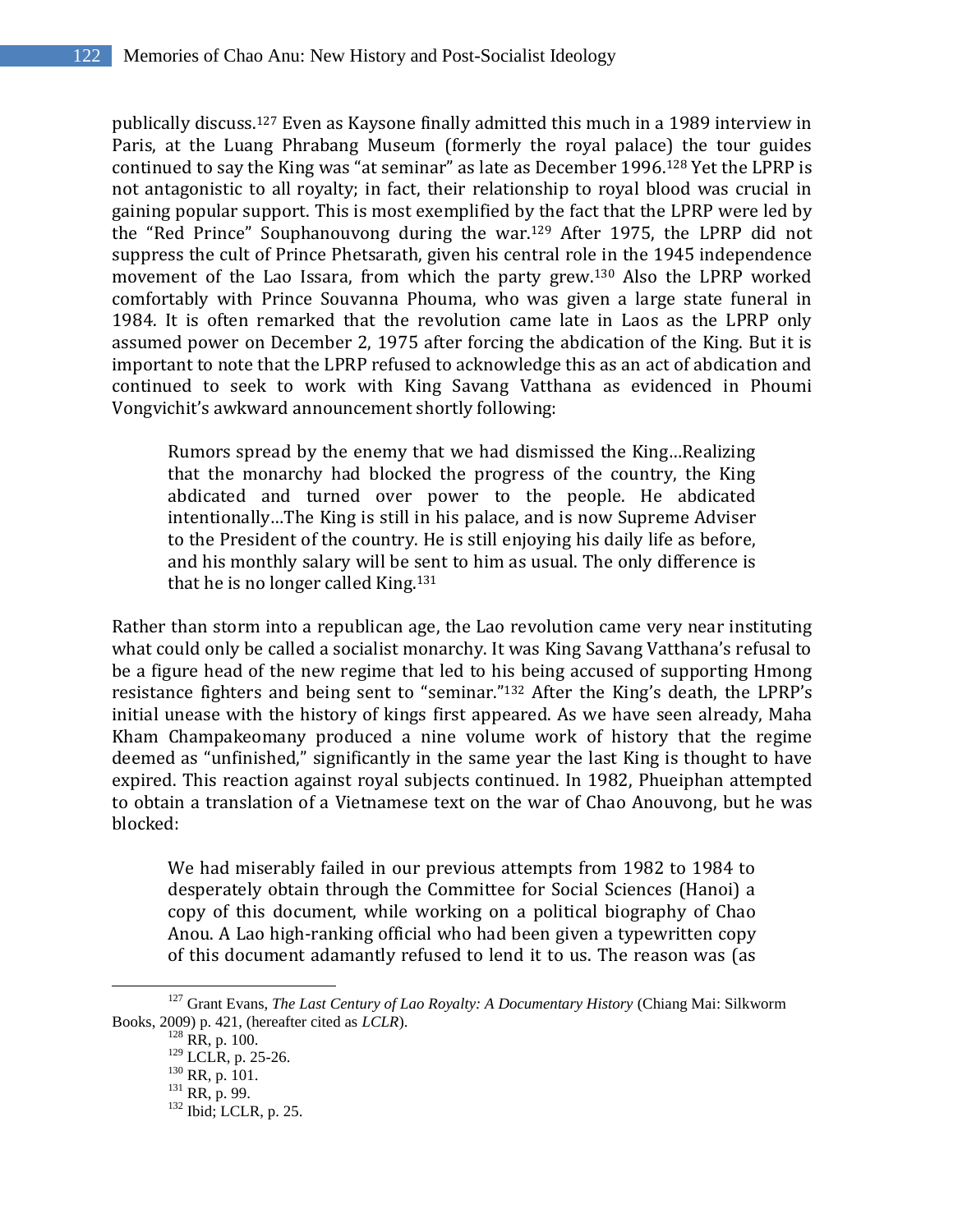publically discuss. <sup>127</sup> Even as Kaysone finally admitted this much in a 1989 interview in Paris, at the Luang Phrabang Museum (formerly the royal palace) the tour guides continued to say the King was "at seminar" as late as December 1996. <sup>128</sup> Yet the LPRP is not antagonistic to all royalty; in fact, their relationship to royal blood was crucial in gaining popular support. This is most exemplified by the fact that the LPRP were led by the "Red Prince" Souphanouvong during the war. <sup>129</sup> After 1975, the LPRP did not suppress the cult of Prince Phetsarath, given his central role in the 1945 independence movement of the Lao Issara, from which the party grew.<sup>130</sup> Also the LPRP worked comfortably with Prince Souvanna Phouma, who was given a large state funeral in 1984. It is often remarked that the revolution came late in Laos as the LPRP only assumed power on December 2, 1975 after forcing the abdication of the King. But it is important to note that the LPRP refused to acknowledge this as an act of abdication and continued to seek to work with King Savang Vatthana as evidenced in Phoumi Vongvichit's awkward announcement shortly following:

Rumors spread by the enemy that we had dismissed the King…Realizing that the monarchy had blocked the progress of the country, the King abdicated and turned over power to the people. He abdicated intentionally…The King is still in his palace, and is now Supreme Adviser to the President of the country. He is still enjoying his daily life as before, and his monthly salary will be sent to him as usual. The only difference is that he is no longer called King.<sup>131</sup>

Rather than storm into a republican age, the Lao revolution came very near instituting what could only be called a socialist monarchy. It was King Savang Vatthana's refusal to be a figure head of the new regime that led to his being accused of supporting Hmong resistance fighters and being sent to "seminar." <sup>132</sup> After the King's death, the LPRP's initial unease with the history of kings first appeared. As we have seen already, Maha Kham Champakeomany produced a nine volume work of history that the regime deemed as "unfinished," significantly in the same year the last King is thought to have expired. This reaction against royal subjects continued. In 1982, Phueiphan attempted to obtain a translation of a Vietnamese text on the war of Chao Anouvong, but he was blocked:

We had miserably failed in our previous attempts from 1982 to 1984 to desperately obtain through the Committee for Social Sciences (Hanoi) a copy of this document, while working on a political biography of Chao Anou. A Lao high-ranking official who had been given a typewritten copy of this document adamantly refused to lend it to us. The reason was (as

<sup>&</sup>lt;sup>127</sup> Grant Evans, *The Last Century of Lao Royalty: A Documentary History (Chiang Mai: Silkworm* Books, 2009) p. 421, (hereafter cited as *LCLR*).

<sup>128</sup> RR, p. 100.

<sup>129</sup> LCLR, p. 25-26.

 $130$  RR, p. 101.

 $131$  RR, p. 99.

 $132$  Ibid; LCLR, p. 25.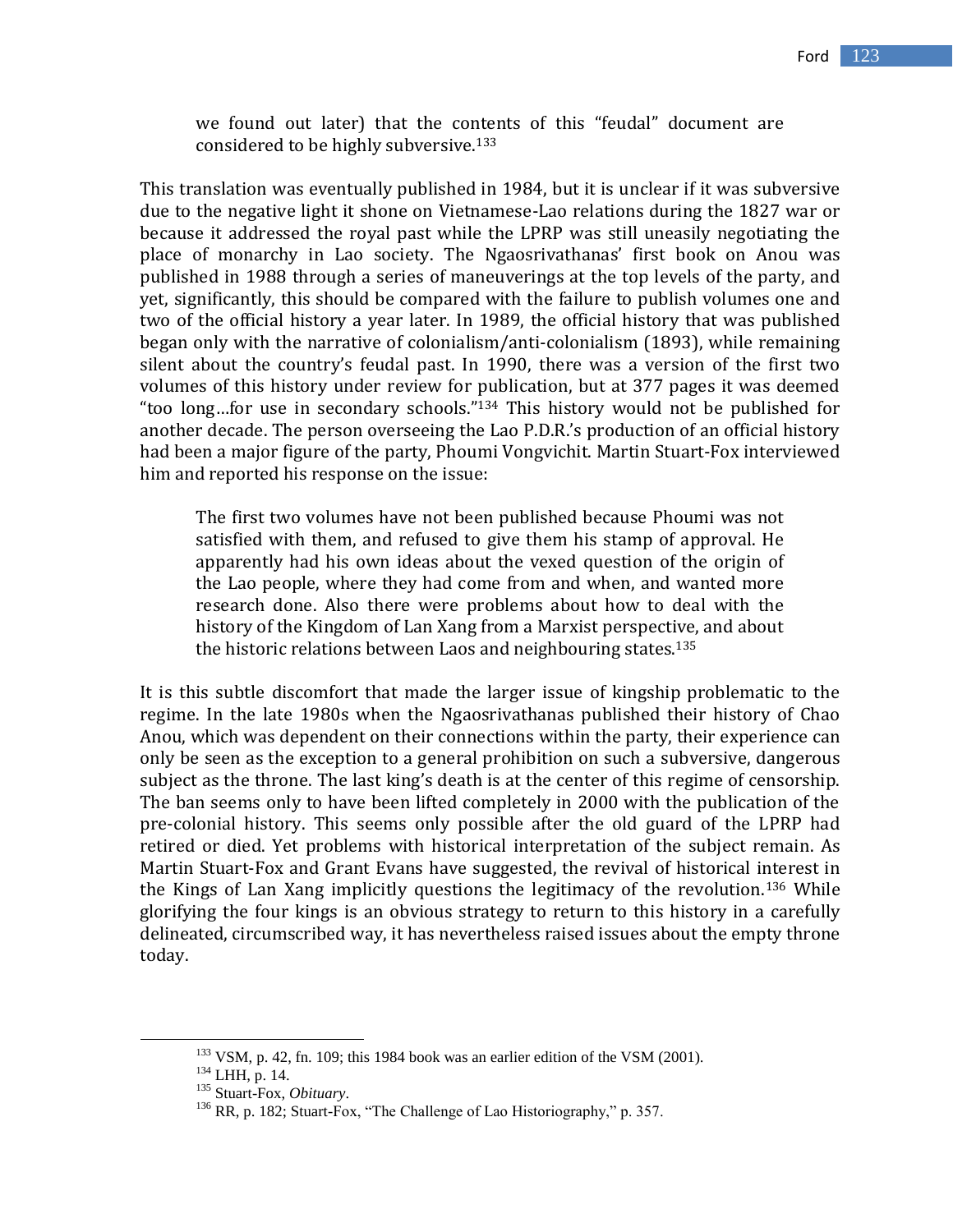we found out later) that the contents of this "feudal" document are considered to be highly subversive.<sup>133</sup>

This translation was eventually published in 1984, but it is unclear if it was subversive due to the negative light it shone on Vietnamese-Lao relations during the 1827 war or because it addressed the royal past while the LPRP was still uneasily negotiating the place of monarchy in Lao society. The Ngaosrivathanas' first book on Anou was published in 1988 through a series of maneuverings at the top levels of the party, and yet, significantly, this should be compared with the failure to publish volumes one and two of the official history a year later. In 1989, the official history that was published began only with the narrative of colonialism/anti-colonialism (1893), while remaining silent about the country's feudal past. In 1990, there was a version of the first two volumes of this history under review for publication, but at 377 pages it was deemed "too long…for use in secondary schools." <sup>134</sup> This history would not be published for another decade. The person overseeing the Lao P.D.R.'s production of an official history had been a major figure of the party, Phoumi Vongvichit. Martin Stuart-Fox interviewed him and reported his response on the issue:

The first two volumes have not been published because Phoumi was not satisfied with them, and refused to give them his stamp of approval. He apparently had his own ideas about the vexed question of the origin of the Lao people, where they had come from and when, and wanted more research done. Also there were problems about how to deal with the history of the Kingdom of Lan Xang from a Marxist perspective, and about the historic relations between Laos and neighbouring states.<sup>135</sup>

It is this subtle discomfort that made the larger issue of kingship problematic to the regime. In the late 1980s when the Ngaosrivathanas published their history of Chao Anou, which was dependent on their connections within the party, their experience can only be seen as the exception to a general prohibition on such a subversive, dangerous subject as the throne. The last king's death is at the center of this regime of censorship. The ban seems only to have been lifted completely in 2000 with the publication of the pre-colonial history. This seems only possible after the old guard of the LPRP had retired or died. Yet problems with historical interpretation of the subject remain. As Martin Stuart-Fox and Grant Evans have suggested, the revival of historical interest in the Kings of Lan Xang implicitly questions the legitimacy of the revolution.<sup>136</sup> While glorifying the four kings is an obvious strategy to return to this history in a carefully delineated, circumscribed way, it has nevertheless raised issues about the empty throne today.

<sup>&</sup>lt;sup>133</sup> VSM, p. 42, fn. 109; this 1984 book was an earlier edition of the VSM (2001).

 $134$  LHH, p. 14.

<sup>135</sup> Stuart-Fox, *Obituary*.

<sup>&</sup>lt;sup>136</sup> RR, p. 182; Stuart-Fox, "The Challenge of Lao Historiography," p. 357.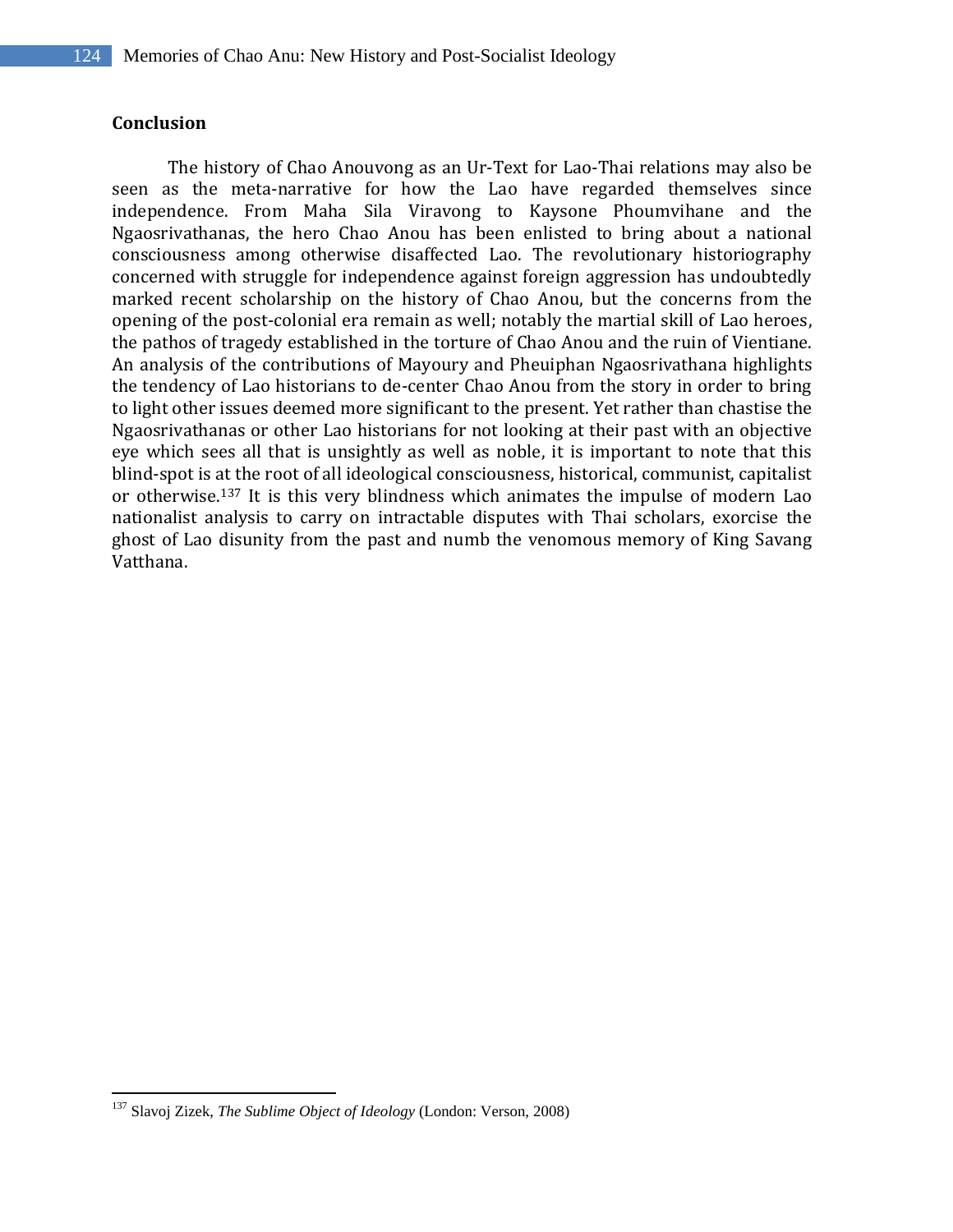## **Conclusion**

The history of Chao Anouvong as an Ur-Text for Lao-Thai relations may also be seen as the meta-narrative for how the Lao have regarded themselves since independence. From Maha Sila Viravong to Kaysone Phoumvihane and the Ngaosrivathanas, the hero Chao Anou has been enlisted to bring about a national consciousness among otherwise disaffected Lao. The revolutionary historiography concerned with struggle for independence against foreign aggression has undoubtedly marked recent scholarship on the history of Chao Anou, but the concerns from the opening of the post-colonial era remain as well; notably the martial skill of Lao heroes, the pathos of tragedy established in the torture of Chao Anou and the ruin of Vientiane. An analysis of the contributions of Mayoury and Pheuiphan Ngaosrivathana highlights the tendency of Lao historians to de-center Chao Anou from the story in order to bring to light other issues deemed more significant to the present. Yet rather than chastise the Ngaosrivathanas or other Lao historians for not looking at their past with an objective eye which sees all that is unsightly as well as noble, it is important to note that this blind-spot is at the root of all ideological consciousness, historical, communist, capitalist or otherwise. <sup>137</sup> It is this very blindness which animates the impulse of modern Lao nationalist analysis to carry on intractable disputes with Thai scholars, exorcise the ghost of Lao disunity from the past and numb the venomous memory of King Savang Vatthana.

<sup>137</sup> Slavoj Zizek, *The Sublime Object of Ideology* (London: Verson, 2008)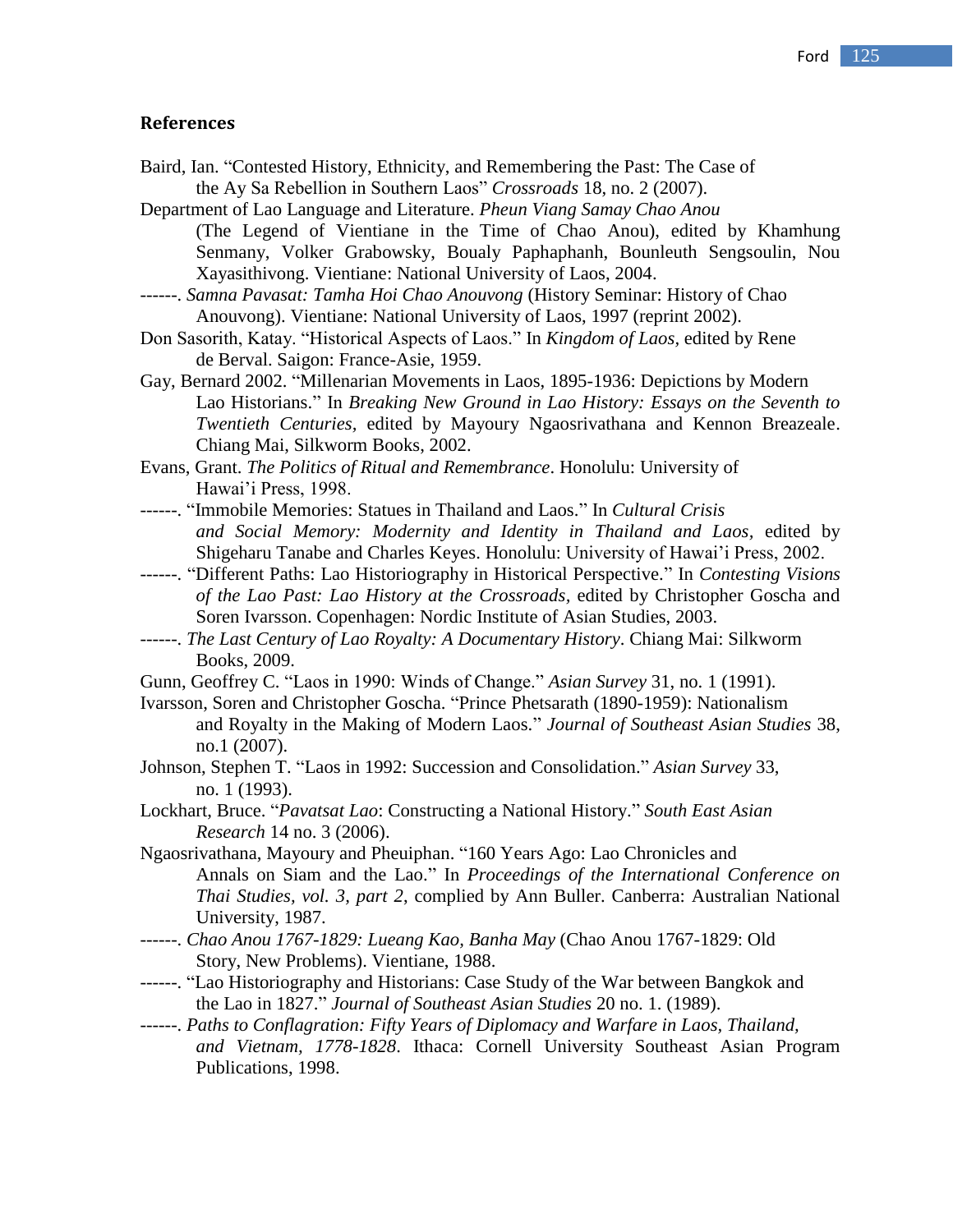#### **References**

- Baird, Ian. "Contested History, Ethnicity, and Remembering the Past: The Case of the Ay Sa Rebellion in Southern Laos" *Crossroads* 18, no. 2 (2007).
- Department of Lao Language and Literature. *Pheun Viang Samay Chao Anou* (The Legend of Vientiane in the Time of Chao Anou), edited by Khamhung Senmany, Volker Grabowsky, Boualy Paphaphanh, Bounleuth Sengsoulin, Nou Xayasithivong. Vientiane: National University of Laos, 2004.
- ------. *Samna Pavasat: Tamha Hoi Chao Anouvong* (History Seminar: History of Chao Anouvong). Vientiane: National University of Laos, 1997 (reprint 2002).
- Don Sasorith, Katay. "Historical Aspects of Laos." In *Kingdom of Laos,* edited by Rene de Berval. Saigon: France-Asie, 1959.
- Gay, Bernard 2002. "Millenarian Movements in Laos, 1895-1936: Depictions by Modern Lao Historians." In *Breaking New Ground in Lao History: Essays on the Seventh to Twentieth Centuries,* edited by Mayoury Ngaosrivathana and Kennon Breazeale. Chiang Mai, Silkworm Books, 2002.
- Evans, Grant. *The Politics of Ritual and Remembrance*. Honolulu: University of Hawai"i Press, 1998.
- ------. "Immobile Memories: Statues in Thailand and Laos." In *Cultural Crisis and Social Memory: Modernity and Identity in Thailand and Laos,* edited by Shigeharu Tanabe and Charles Keyes. Honolulu: University of Hawai"i Press, 2002.
- ------. "Different Paths: Lao Historiography in Historical Perspective." In *Contesting Visions of the Lao Past: Lao History at the Crossroads,* edited by Christopher Goscha and Soren Ivarsson. Copenhagen: Nordic Institute of Asian Studies, 2003.
- ------. *The Last Century of Lao Royalty: A Documentary History*. Chiang Mai: Silkworm Books, 2009.
- Gunn, Geoffrey C. "Laos in 1990: Winds of Change." *Asian Survey* 31, no. 1 (1991).
- Ivarsson, Soren and Christopher Goscha. "Prince Phetsarath (1890-1959): Nationalism and Royalty in the Making of Modern Laos." *Journal of Southeast Asian Studies* 38, no.1 (2007).
- Johnson, Stephen T. "Laos in 1992: Succession and Consolidation." *Asian Survey* 33, no. 1 (1993).
- Lockhart, Bruce. "*Pavatsat Lao*: Constructing a National History." *South East Asian Research* 14 no. 3 (2006).
- Ngaosrivathana, Mayoury and Pheuiphan. "160 Years Ago: Lao Chronicles and Annals on Siam and the Lao." In *Proceedings of the International Conference on Thai Studies, vol. 3, part 2*, complied by Ann Buller. Canberra: Australian National University, 1987.
- ------. *Chao Anou 1767-1829: Lueang Kao, Banha May* (Chao Anou 1767-1829: Old Story, New Problems). Vientiane, 1988.
- ------. "Lao Historiography and Historians: Case Study of the War between Bangkok and the Lao in 1827." *Journal of Southeast Asian Studies* 20 no. 1. (1989).
- ------. *Paths to Conflagration: Fifty Years of Diplomacy and Warfare in Laos, Thailand, and Vietnam, 1778-1828*. Ithaca: Cornell University Southeast Asian Program Publications, 1998.